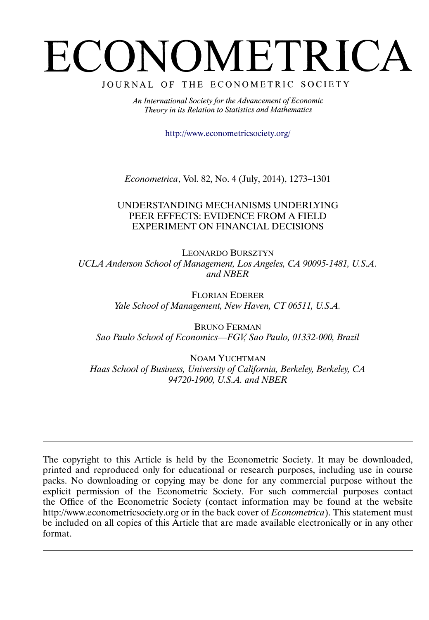# ECONOMETRICA

## JOURNAL OF THE ECONOMETRIC SOCIETY

An International Society for the Advancement of Economic Theory in its Relation to Statistics and Mathematics

<http://www.econometricsociety.org/>

*Econometrica*, Vol. 82, No. 4 (July, 2014), 1273–1301

# UNDERSTANDING MECHANISMS UNDERLYING PEER EFFECTS: EVIDENCE FROM A FIELD EXPERIMENT ON FINANCIAL DECISIONS

LEONARDO BURSZTYN *UCLA Anderson School of Management, Los Angeles, CA 90095-1481, U.S.A. and NBER*

> FLORIAN EDERER *Yale School of Management, New Haven, CT 06511, U.S.A.*

BRUNO FERMAN *Sao Paulo School of Economics—FGV, Sao Paulo, 01332-000, Brazil*

NOAM YUCHTMAN *Haas School of Business, University of California, Berkeley, Berkeley, CA 94720-1900, U.S.A. and NBER*

The copyright to this Article is held by the Econometric Society. It may be downloaded, printed and reproduced only for educational or research purposes, including use in course packs. No downloading or copying may be done for any commercial purpose without the explicit permission of the Econometric Society. For such commercial purposes contact the Office of the Econometric Society (contact information may be found at the website http://www.econometricsociety.org or in the back cover of *Econometrica*). This statement must be included on all copies of this Article that are made available electronically or in any other format.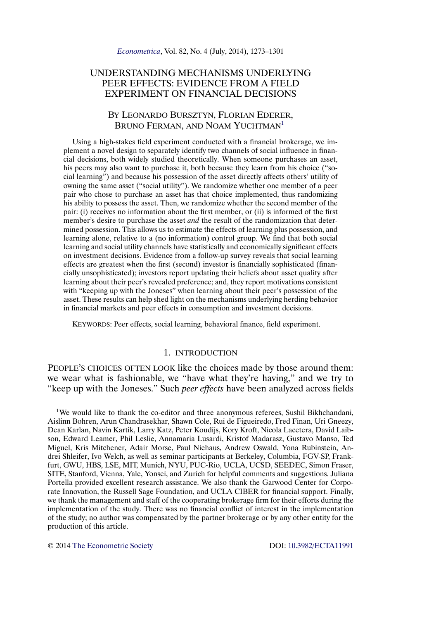## <span id="page-1-0"></span>UNDERSTANDING MECHANISMS UNDERLYING PEER EFFECTS: EVIDENCE FROM A FIELD EXPERIMENT ON FINANCIAL DECISIONS

## BY LEONARDO BURSZTYN, FLORIAN EDERER, BRUNO FERMAN, AND NOAM YUCHTMAN<sup>1</sup>

Using a high-stakes field experiment conducted with a financial brokerage, we implement a novel design to separately identify two channels of social influence in financial decisions, both widely studied theoretically. When someone purchases an asset, his peers may also want to purchase it, both because they learn from his choice ("social learning") and because his possession of the asset directly affects others' utility of owning the same asset ("social utility"). We randomize whether one member of a peer pair who chose to purchase an asset has that choice implemented, thus randomizing his ability to possess the asset. Then, we randomize whether the second member of the pair: (i) receives no information about the first member, or (ii) is informed of the first member's desire to purchase the asset *and* the result of the randomization that determined possession. This allows us to estimate the effects of learning plus possession, and learning alone, relative to a (no information) control group. We find that both social learning and social utility channels have statistically and economically significant effects on investment decisions. Evidence from a follow-up survey reveals that social learning effects are greatest when the first (second) investor is financially sophisticated (financially unsophisticated); investors report updating their beliefs about asset quality after learning about their peer's revealed preference; and, they report motivations consistent with "keeping up with the Joneses" when learning about their peer's possession of the asset. These results can help shed light on the mechanisms underlying herding behavior in financial markets and peer effects in consumption and investment decisions.

KEYWORDS: Peer effects, social learning, behavioral finance, field experiment.

## 1. INTRODUCTION

PEOPLE'S CHOICES OFTEN LOOK like the choices made by those around them: we wear what is fashionable, we "have what they're having," and we try to "keep up with the Joneses." Such *peer effects* have been analyzed across fields

<sup>1</sup>We would like to thank the co-editor and three anonymous referees, Sushil Bikhchandani, Aislinn Bohren, Arun Chandrasekhar, Shawn Cole, Rui de Figueiredo, Fred Finan, Uri Gneezy, Dean Karlan, Navin Kartik, Larry Katz, Peter Koudijs, Kory Kroft, Nicola Lacetera, David Laibson, Edward Leamer, Phil Leslie, Annamaria Lusardi, Kristof Madarasz, Gustavo Manso, Ted Miguel, Kris Mitchener, Adair Morse, Paul Niehaus, Andrew Oswald, Yona Rubinstein, Andrei Shleifer, Ivo Welch, as well as seminar participants at Berkeley, Columbia, FGV-SP, Frankfurt, GWU, HBS, LSE, MIT, Munich, NYU, PUC-Rio, UCLA, UCSD, SEEDEC, Simon Fraser, SITE, Stanford, Vienna, Yale, Yonsei, and Zurich for helpful comments and suggestions. Juliana Portella provided excellent research assistance. We also thank the Garwood Center for Corporate Innovation, the Russell Sage Foundation, and UCLA CIBER for financial support. Finally, we thank the management and staff of the cooperating brokerage firm for their efforts during the implementation of the study. There was no financial conflict of interest in the implementation of the study; no author was compensated by the partner brokerage or by any other entity for the production of this article.

© 2014 [The Econometric Society](http://www.econometricsociety.org/) DOI: [10.3982/ECTA11991](http://dx.doi.org/10.3982/ECTA11991)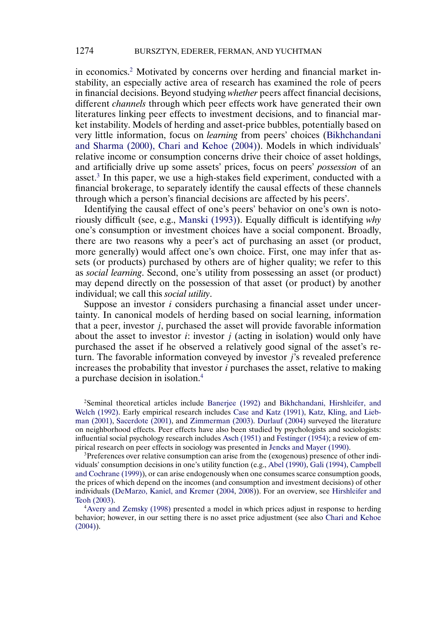<span id="page-2-0"></span>in economics.2 Motivated by concerns over herding and financial market instability, an especially active area of research has examined the role of peers in financial decisions. Beyond studying *whether* peers affect financial decisions, different *channels* through which peer effects work have generated their own literatures linking peer effects to investment decisions, and to financial market instability. Models of herding and asset-price bubbles, potentially based on very little information, focus on *learning* from peers' choices [\(Bikhchandani](#page-26-0) [and Sharma \(2000\), Chari and Kehoe \(2004\)\)](#page-26-0). Models in which individuals' relative income or consumption concerns drive their choice of asset holdings, and artificially drive up some assets' prices, focus on peers' *possession* of an asset.<sup>3</sup> In this paper, we use a high-stakes field experiment, conducted with a financial brokerage, to separately identify the causal effects of these channels through which a person's financial decisions are affected by his peers'.

Identifying the causal effect of one's peers' behavior on one's own is notoriously difficult (see, e.g., [Manski \(1993\)\)](#page-29-0). Equally difficult is identifying *why* one's consumption or investment choices have a social component. Broadly, there are two reasons why a peer's act of purchasing an asset (or product, more generally) would affect one's own choice. First, one may infer that assets (or products) purchased by others are of higher quality; we refer to this as *social learning*. Second, one's utility from possessing an asset (or product) may depend directly on the possession of that asset (or product) by another individual; we call this *social utility*.

Suppose an investor *i* considers purchasing a financial asset under uncertainty. In canonical models of herding based on social learning, information that a peer, investor j, purchased the asset will provide favorable information about the asset to investor  $i$ : investor  $j$  (acting in isolation) would only have purchased the asset if he observed a relatively good signal of the asset's return. The favorable information conveyed by investor j's revealed preference increases the probability that investor  $i$  purchases the asset, relative to making a purchase decision in isolation.4

<sup>2</sup>Seminal theoretical articles include [Banerjee \(1992\)](#page-26-0) and [Bikhchandani, Hirshleifer, and](#page-26-0) [Welch \(1992\).](#page-26-0) Early empirical research includes [Case and Katz \(1991\),](#page-27-0) [Katz, Kling, and Lieb](#page-28-0)[man \(2001\),](#page-28-0) [Sacerdote \(2001\),](#page-29-0) and [Zimmerman \(2003\).](#page-29-0) [Durlauf \(2004\)](#page-28-0) surveyed the literature on neighborhood effects. Peer effects have also been studied by psychologists and sociologists: influential social psychology research includes [Asch \(1951\)](#page-26-0) and [Festinger \(1954\);](#page-28-0) a review of empirical research on peer effects in sociology was presented in [Jencks and Mayer \(1990\).](#page-28-0)

<sup>3</sup>Preferences over relative consumption can arise from the (exogenous) presence of other individuals' consumption decisions in one's utility function (e.g., [Abel \(1990\),](#page-26-0) [Gali \(1994\),](#page-28-0) [Campbell](#page-27-0) [and Cochrane \(1999\)\)](#page-27-0), or can arise endogenously when one consumes scarce consumption goods, the prices of which depend on the incomes (and consumption and investment decisions) of other individuals [\(DeMarzo, Kaniel, and Kremer](#page-27-0) [\(2004,](#page-27-0) [2008\)](#page-27-0)). For an overview, see [Hirshleifer and](#page-28-0) [Teoh \(2003\).](#page-28-0)

[4Avery and Zemsky \(1998\)](#page-26-0) presented a model in which prices adjust in response to herding behavior; however, in our setting there is no asset price adjustment (see also [Chari and Kehoe](#page-27-0) [\(2004\)\)](#page-27-0).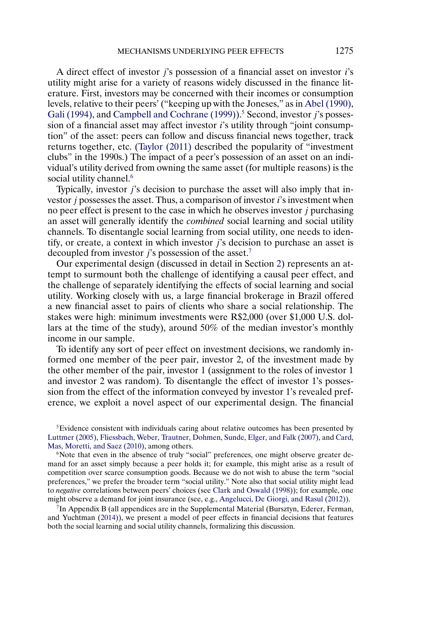A direct effect of investor j's possession of a financial asset on investor i's utility might arise for a variety of reasons widely discussed in the finance literature. First, investors may be concerned with their incomes or consumption levels, relative to their peers' ("keeping up with the Joneses," as in [Abel \(1990\),](#page-26-0) [Gali \(1994\),](#page-28-0) and [Campbell and Cochrane \(1999\)\)](#page-27-0).<sup>5</sup> Second, investor *j*'s possession of a financial asset may affect investor *i*'s utility through "joint consumption" of the asset: peers can follow and discuss financial news together, track returns together, etc. [\(Taylor \(2011\)](#page-29-0) described the popularity of "investment clubs" in the 1990s.) The impact of a peer's possession of an asset on an individual's utility derived from owning the same asset (for multiple reasons) is the social utility channel.<sup>6</sup>

Typically, investor j's decision to purchase the asset will also imply that investor j possesses the asset. Thus, a comparison of investor i's investment when no peer effect is present to the case in which he observes investor  $i$  purchasing an asset will generally identify the *combined* social learning and social utility channels. To disentangle social learning from social utility, one needs to identify, or create, a context in which investor j's decision to purchase an asset is decoupled from investor *j*'s possession of the asset.<sup>7</sup>

Our experimental design (discussed in detail in Section [2\)](#page-6-0) represents an attempt to surmount both the challenge of identifying a causal peer effect, and the challenge of separately identifying the effects of social learning and social utility. Working closely with us, a large financial brokerage in Brazil offered a new financial asset to pairs of clients who share a social relationship. The stakes were high: minimum investments were R\$2,000 (over \$1,000 U.S. dollars at the time of the study), around 50% of the median investor's monthly income in our sample.

To identify any sort of peer effect on investment decisions, we randomly informed one member of the peer pair, investor 2, of the investment made by the other member of the pair, investor 1 (assignment to the roles of investor 1 and investor 2 was random). To disentangle the effect of investor 1's possession from the effect of the information conveyed by investor 1's revealed preference, we exploit a novel aspect of our experimental design. The financial

5Evidence consistent with individuals caring about relative outcomes has been presented by [Luttmer \(2005\),](#page-29-0) [Fliessbach, Weber, Trautner, Dohmen, Sunde, Elger, and Falk \(2007\),](#page-28-0) and [Card,](#page-27-0) [Mas, Moretti, and Saez \(2010\),](#page-27-0) among others.

<sup>6</sup>Note that even in the absence of truly "social" preferences, one might observe greater demand for an asset simply because a peer holds it; for example, this might arise as a result of competition over scarce consumption goods. Because we do not wish to abuse the term "social preferences," we prefer the broader term "social utility." Note also that social utility might lead to *negative* correlations between peers' choices (see [Clark and Oswald \(1998\)\)](#page-27-0); for example, one might observe a demand for joint insurance (see, e.g., [Angelucci, De Giorgi, and Rasul \(2012\)\)](#page-26-0).

 $7$ In Appendix B (all appendices are in the Supplemental Material (Bursztyn, Ederer, Ferman, and Yuchtman [\(2014\)](#page-26-0)), we present a model of peer effects in financial decisions that features both the social learning and social utility channels, formalizing this discussion.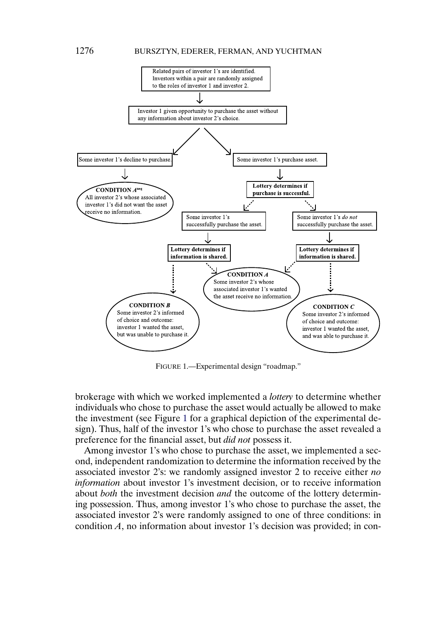

FIGURE 1.—Experimental design "roadmap."

brokerage with which we worked implemented a *lottery* to determine whether individuals who chose to purchase the asset would actually be allowed to make the investment (see Figure 1 for a graphical depiction of the experimental design). Thus, half of the investor 1's who chose to purchase the asset revealed a preference for the financial asset, but *did not* possess it.

Among investor 1's who chose to purchase the asset, we implemented a second, independent randomization to determine the information received by the associated investor 2's: we randomly assigned investor 2 to receive either *no information* about investor 1's investment decision, or to receive information about *both* the investment decision *and* the outcome of the lottery determining possession. Thus, among investor 1's who chose to purchase the asset, the associated investor 2's were randomly assigned to one of three conditions: in condition *A*, no information about investor 1's decision was provided; in con-

<span id="page-4-0"></span>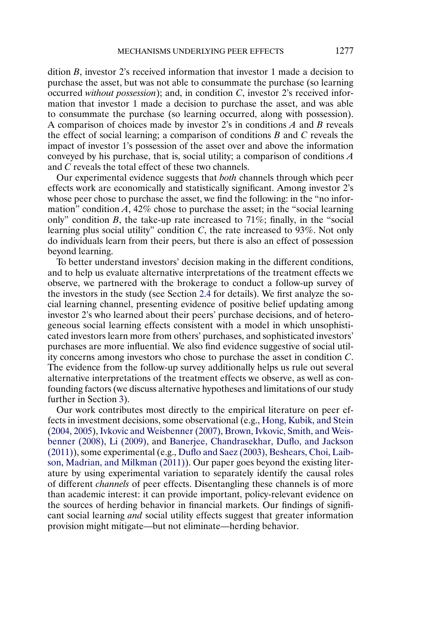<span id="page-5-0"></span>dition *B*, investor 2's received information that investor 1 made a decision to purchase the asset, but was not able to consummate the purchase (so learning occurred *without possession*); and, in condition *C*, investor 2's received information that investor 1 made a decision to purchase the asset, and was able to consummate the purchase (so learning occurred, along with possession). A comparison of choices made by investor 2's in conditions *A* and *B* reveals the effect of social learning; a comparison of conditions *B* and *C* reveals the impact of investor 1's possession of the asset over and above the information conveyed by his purchase, that is, social utility; a comparison of conditions *A* and *C* reveals the total effect of these two channels.

Our experimental evidence suggests that *both* channels through which peer effects work are economically and statistically significant. Among investor 2's whose peer chose to purchase the asset, we find the following: in the "no information" condition *A*, 42% chose to purchase the asset; in the "social learning only" condition *B*, the take-up rate increased to 71%; finally, in the "social" learning plus social utility" condition *C*, the rate increased to 93%. Not only do individuals learn from their peers, but there is also an effect of possession beyond learning.

To better understand investors' decision making in the different conditions, and to help us evaluate alternative interpretations of the treatment effects we observe, we partnered with the brokerage to conduct a follow-up survey of the investors in the study (see Section [2.4](#page-12-0) for details). We first analyze the social learning channel, presenting evidence of positive belief updating among investor 2's who learned about their peers' purchase decisions, and of heterogeneous social learning effects consistent with a model in which unsophisticated investors learn more from others' purchases, and sophisticated investors' purchases are more influential. We also find evidence suggestive of social utility concerns among investors who chose to purchase the asset in condition *C*. The evidence from the follow-up survey additionally helps us rule out several alternative interpretations of the treatment effects we observe, as well as confounding factors (we discuss alternative hypotheses and limitations of our study further in Section [3\)](#page-13-0).

Our work contributes most directly to the empirical literature on peer effects in investment decisions, some observational (e.g., [Hong, Kubik, and Stein](#page-28-0) [\(2004,](#page-28-0) [2005\)](#page-28-0), [Ivkovic and Weisbenner \(2007\),](#page-28-0) [Brown, Ivkovic, Smith, and Weis](#page-26-0)[benner \(2008\),](#page-26-0) [Li \(2009\),](#page-28-0) and [Banerjee, Chandrasekhar, Duflo, and Jackson](#page-26-0) [\(2011\)\)](#page-26-0), some experimental (e.g., [Duflo and Saez \(2003\),](#page-27-0) [Beshears, Choi, Laib](#page-26-0)[son, Madrian, and Milkman \(2011\)\)](#page-26-0). Our paper goes beyond the existing literature by using experimental variation to separately identify the causal roles of different *channels* of peer effects. Disentangling these channels is of more than academic interest: it can provide important, policy-relevant evidence on the sources of herding behavior in financial markets. Our findings of significant social learning *and* social utility effects suggest that greater information provision might mitigate—but not eliminate—herding behavior.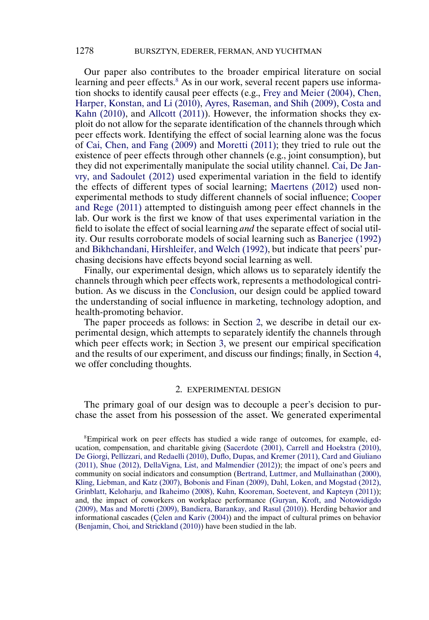<span id="page-6-0"></span>Our paper also contributes to the broader empirical literature on social learning and peer effects.<sup>8</sup> As in our work, several recent papers use information shocks to identify causal peer effects (e.g., [Frey and Meier \(2004\),](#page-28-0) [Chen,](#page-27-0) [Harper, Konstan, and Li \(2010\),](#page-27-0) [Ayres, Raseman, and Shih \(2009\),](#page-26-0) [Costa and](#page-27-0) [Kahn \(2010\),](#page-27-0) and [Allcott \(2011\)\)](#page-26-0). However, the information shocks they exploit do not allow for the separate identification of the channels through which peer effects work. Identifying the effect of social learning alone was the focus of [Cai, Chen, and Fang \(2009\)](#page-26-0) and [Moretti \(2011\);](#page-29-0) they tried to rule out the existence of peer effects through other channels (e.g., joint consumption), but they did not experimentally manipulate the social utility channel. [Cai, De Jan](#page-26-0)[vry, and Sadoulet \(2012\)](#page-26-0) used experimental variation in the field to identify the effects of different types of social learning; [Maertens \(2012\)](#page-29-0) used nonexperimental methods to study different channels of social influence; [Cooper](#page-27-0) [and Rege \(2011\)](#page-27-0) attempted to distinguish among peer effect channels in the lab. Our work is the first we know of that uses experimental variation in the field to isolate the effect of social learning *and* the separate effect of social utility. Our results corroborate models of social learning such as [Banerjee \(1992\)](#page-26-0) and [Bikhchandani, Hirshleifer, and Welch \(1992\),](#page-26-0) but indicate that peers' purchasing decisions have effects beyond social learning as well.

Finally, our experimental design, which allows us to separately identify the channels through which peer effects work, represents a methodological contribution. As we discuss in the [Conclusion,](#page-24-0) our design could be applied toward the understanding of social influence in marketing, technology adoption, and health-promoting behavior.

The paper proceeds as follows: in Section 2, we describe in detail our experimental design, which attempts to separately identify the channels through which peer effects work; in Section [3,](#page-13-0) we present our empirical specification and the results of our experiment, and discuss our findings; finally, in Section [4,](#page-24-0) we offer concluding thoughts.

#### 2. EXPERIMENTAL DESIGN

The primary goal of our design was to decouple a peer's decision to purchase the asset from his possession of the asset. We generated experimental

8Empirical work on peer effects has studied a wide range of outcomes, for example, education, compensation, and charitable giving [\(Sacerdote \(2001\), Carrell and Hoekstra \(2010\),](#page-29-0) [De Giorgi, Pellizzari, and Redaelli \(2010\), Duflo, Dupas, and Kremer \(2011\), Card and Giuliano](#page-29-0) [\(2011\), Shue \(2012\), DellaVigna, List, and Malmendier \(2012\)\)](#page-29-0); the impact of one's peers and community on social indicators and consumption [\(Bertrand, Luttmer, and Mullainathan \(2000\),](#page-26-0) [Kling, Liebman, and Katz \(2007\), Bobonis and Finan \(2009\), Dahl, Loken, and Mogstad \(2012\),](#page-26-0) [Grinblatt, Keloharju, and Ikaheimo \(2008\), Kuhn, Kooreman, Soetevent, and Kapteyn \(2011\)\)](#page-26-0); and, the impact of coworkers on workplace performance [\(Guryan, Kroft, and Notowidigdo](#page-28-0) [\(2009\), Mas and Moretti \(2009\), Bandiera, Barankay, and Rasul \(2010\)\)](#page-28-0). Herding behavior and informational cascades [\(Çelen and Kariv \(2004\)\)](#page-27-0) and the impact of cultural primes on behavior [\(Benjamin, Choi, and Strickland \(2010\)\)](#page-26-0) have been studied in the lab.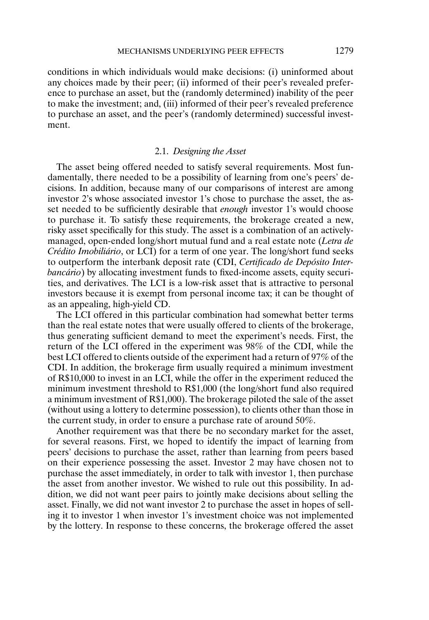conditions in which individuals would make decisions: (i) uninformed about any choices made by their peer; (ii) informed of their peer's revealed preference to purchase an asset, but the (randomly determined) inability of the peer to make the investment; and, (iii) informed of their peer's revealed preference to purchase an asset, and the peer's (randomly determined) successful investment.

#### 2.1. *Designing the Asset*

The asset being offered needed to satisfy several requirements. Most fundamentally, there needed to be a possibility of learning from one's peers' decisions. In addition, because many of our comparisons of interest are among investor 2's whose associated investor 1's chose to purchase the asset, the asset needed to be sufficiently desirable that *enough* investor 1's would choose to purchase it. To satisfy these requirements, the brokerage created a new, risky asset specifically for this study. The asset is a combination of an activelymanaged, open-ended long/short mutual fund and a real estate note (*Letra de Crédito Imobiliário*, or LCI) for a term of one year. The long/short fund seeks to outperform the interbank deposit rate (CDI, *Certificado de Depósito Interbancário*) by allocating investment funds to fixed-income assets, equity securities, and derivatives. The LCI is a low-risk asset that is attractive to personal investors because it is exempt from personal income tax; it can be thought of as an appealing, high-yield CD.

The LCI offered in this particular combination had somewhat better terms than the real estate notes that were usually offered to clients of the brokerage, thus generating sufficient demand to meet the experiment's needs. First, the return of the LCI offered in the experiment was 98% of the CDI, while the best LCI offered to clients outside of the experiment had a return of 97% of the CDI. In addition, the brokerage firm usually required a minimum investment of R\$10,000 to invest in an LCI, while the offer in the experiment reduced the minimum investment threshold to R\$1,000 (the long/short fund also required a minimum investment of R\$1,000). The brokerage piloted the sale of the asset (without using a lottery to determine possession), to clients other than those in the current study, in order to ensure a purchase rate of around 50%.

Another requirement was that there be no secondary market for the asset, for several reasons. First, we hoped to identify the impact of learning from peers' decisions to purchase the asset, rather than learning from peers based on their experience possessing the asset. Investor 2 may have chosen not to purchase the asset immediately, in order to talk with investor 1, then purchase the asset from another investor. We wished to rule out this possibility. In addition, we did not want peer pairs to jointly make decisions about selling the asset. Finally, we did not want investor 2 to purchase the asset in hopes of selling it to investor 1 when investor 1's investment choice was not implemented by the lottery. In response to these concerns, the brokerage offered the asset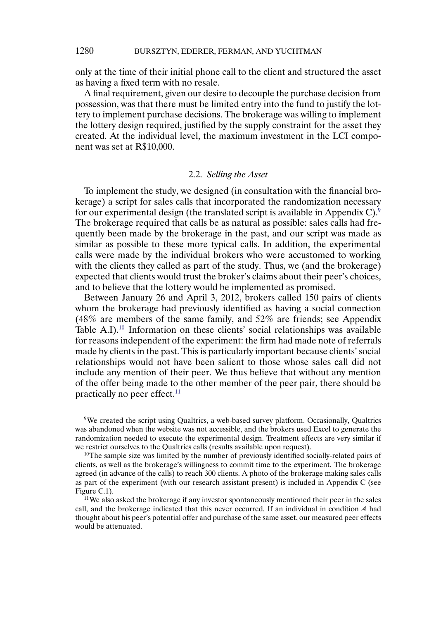only at the time of their initial phone call to the client and structured the asset as having a fixed term with no resale.

A final requirement, given our desire to decouple the purchase decision from possession, was that there must be limited entry into the fund to justify the lottery to implement purchase decisions. The brokerage was willing to implement the lottery design required, justified by the supply constraint for the asset they created. At the individual level, the maximum investment in the LCI component was set at R\$10,000.

#### 2.2. *Selling the Asset*

To implement the study, we designed (in consultation with the financial brokerage) a script for sales calls that incorporated the randomization necessary for our experimental design (the translated script is available in Appendix  $C$ ).<sup>9</sup> The brokerage required that calls be as natural as possible: sales calls had frequently been made by the brokerage in the past, and our script was made as similar as possible to these more typical calls. In addition, the experimental calls were made by the individual brokers who were accustomed to working with the clients they called as part of the study. Thus, we (and the brokerage) expected that clients would trust the broker's claims about their peer's choices, and to believe that the lottery would be implemented as promised.

Between January 26 and April 3, 2012, brokers called 150 pairs of clients whom the brokerage had previously identified as having a social connection (48% are members of the same family, and 52% are friends; see Appendix Table A.I).<sup>10</sup> Information on these clients' social relationships was available for reasons independent of the experiment: the firm had made note of referrals made by clients in the past. This is particularly important because clients' social relationships would not have been salient to those whose sales call did not include any mention of their peer. We thus believe that without any mention of the offer being made to the other member of the peer pair, there should be practically no peer effect.<sup>11</sup>

<sup>9</sup>We created the script using Qualtrics, a web-based survey platform. Occasionally, Qualtrics was abandoned when the website was not accessible, and the brokers used Excel to generate the randomization needed to execute the experimental design. Treatment effects are very similar if we restrict ourselves to the Qualtrics calls (results available upon request).

<sup>10</sup>The sample size was limited by the number of previously identified socially-related pairs of clients, as well as the brokerage's willingness to commit time to the experiment. The brokerage agreed (in advance of the calls) to reach 300 clients. A photo of the brokerage making sales calls as part of the experiment (with our research assistant present) is included in Appendix C (see Figure C.1).

 $11$ We also asked the brokerage if any investor spontaneously mentioned their peer in the sales call, and the brokerage indicated that this never occurred. If an individual in condition *A* had thought about his peer's potential offer and purchase of the same asset, our measured peer effects would be attenuated.

<span id="page-8-0"></span>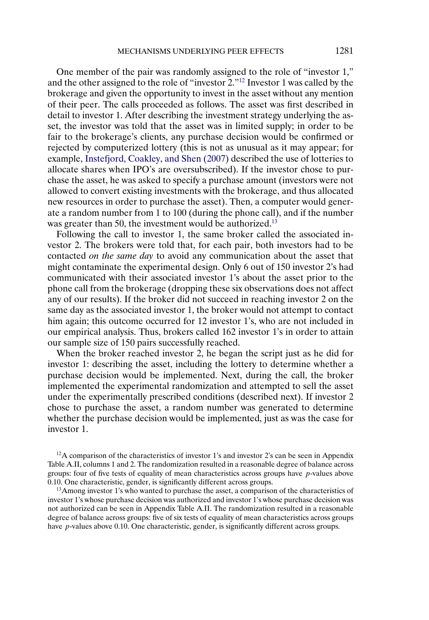One member of the pair was randomly assigned to the role of "investor 1," and the other assigned to the role of "investor 2."12 Investor 1 was called by the brokerage and given the opportunity to invest in the asset without any mention of their peer. The calls proceeded as follows. The asset was first described in detail to investor 1. After describing the investment strategy underlying the asset, the investor was told that the asset was in limited supply; in order to be fair to the brokerage's clients, any purchase decision would be confirmed or rejected by computerized lottery (this is not as unusual as it may appear; for example, [Instefjord, Coakley, and Shen \(2007\)](#page-28-0) described the use of lotteries to allocate shares when IPO's are oversubscribed). If the investor chose to purchase the asset, he was asked to specify a purchase amount (investors were not allowed to convert existing investments with the brokerage, and thus allocated new resources in order to purchase the asset). Then, a computer would generate a random number from 1 to 100 (during the phone call), and if the number was greater than 50, the investment would be authorized.<sup>13</sup>

Following the call to investor 1, the same broker called the associated investor 2. The brokers were told that, for each pair, both investors had to be contacted *on the same day* to avoid any communication about the asset that might contaminate the experimental design. Only 6 out of 150 investor 2's had communicated with their associated investor 1's about the asset prior to the phone call from the brokerage (dropping these six observations does not affect any of our results). If the broker did not succeed in reaching investor 2 on the same day as the associated investor 1, the broker would not attempt to contact him again; this outcome occurred for 12 investor 1's, who are not included in our empirical analysis. Thus, brokers called 162 investor 1's in order to attain our sample size of 150 pairs successfully reached.

When the broker reached investor 2, he began the script just as he did for investor 1: describing the asset, including the lottery to determine whether a purchase decision would be implemented. Next, during the call, the broker implemented the experimental randomization and attempted to sell the asset under the experimentally prescribed conditions (described next). If investor 2 chose to purchase the asset, a random number was generated to determine whether the purchase decision would be implemented, just as was the case for investor 1.

 $12A$  comparison of the characteristics of investor 1's and investor 2's can be seen in Appendix Table A.II, columns 1 and 2. The randomization resulted in a reasonable degree of balance across groups: four of five tests of equality of mean characteristics across groups have  $p$ -values above 0.10. One characteristic, gender, is significantly different across groups.

<sup>13</sup> Among investor 1's who wanted to purchase the asset, a comparison of the characteristics of investor 1's whose purchase decision was authorized and investor 1's whose purchase decision was not authorized can be seen in Appendix Table A.II. The randomization resulted in a reasonable degree of balance across groups: five of six tests of equality of mean characteristics across groups have *p*-values above 0.10. One characteristic, gender, is significantly different across groups.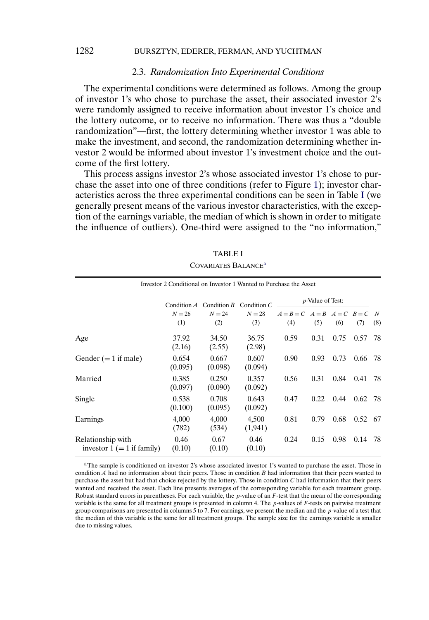## <span id="page-10-0"></span>1282 BURSZTYN, EDERER, FERMAN, AND YUCHTMAN

## 2.3. *Randomization Into Experimental Conditions*

The experimental conditions were determined as follows. Among the group of investor 1's who chose to purchase the asset, their associated investor 2's were randomly assigned to receive information about investor 1's choice and the lottery outcome, or to receive no information. There was thus a "double randomization"—first, the lottery determining whether investor 1 was able to make the investment, and second, the randomization determining whether investor 2 would be informed about investor 1's investment choice and the outcome of the first lottery.

This process assigns investor 2's whose associated investor 1's chose to purchase the asset into one of three conditions (refer to Figure [1\)](#page-4-0); investor characteristics across the three experimental conditions can be seen in Table I (we generally present means of the various investor characteristics, with the exception of the earnings variable, the median of which is shown in order to mitigate the influence of outliers). One-third were assigned to the "no information,"

|                                                   |                  |                  | Investor 2 Conditional on Investor 1 Wanted to Purchase the Asset |                                  |      |      |      |          |
|---------------------------------------------------|------------------|------------------|-------------------------------------------------------------------|----------------------------------|------|------|------|----------|
|                                                   | Condition $A$    | Condition $B$    | Condition $C$                                                     | <i>p</i> -Value of Test:         |      |      |      |          |
|                                                   | $N = 26$<br>(1)  | $N = 24$<br>(2)  | $N=28$<br>(3)                                                     | $A=B=C$ $A=B$ $A=C$ $B=C$<br>(4) | (5)  | (6)  | (7)  | N<br>(8) |
| Age                                               | 37.92<br>(2.16)  | 34.50<br>(2.55)  | 36.75<br>(2.98)                                                   | 0.59                             | 0.31 | 0.75 | 0.57 | 78       |
| Gender $(= 1$ if male)                            | 0.654<br>(0.095) | 0.667<br>(0.098) | 0.607<br>(0.094)                                                  | 0.90                             | 0.93 | 0.73 | 0.66 | -78      |
| Married                                           | 0.385<br>(0.097) | 0.250<br>(0.090) | 0.357<br>(0.092)                                                  | 0.56                             | 0.31 | 0.84 | 0.41 | -78      |
| Single                                            | 0.538<br>(0.100) | 0.708<br>(0.095) | 0.643<br>(0.092)                                                  | 0.47                             | 0.22 | 0.44 | 0.62 | - 78     |
| Earnings                                          | 4,000<br>(782)   | 4,000<br>(534)   | 4,500<br>(1,941)                                                  | 0.81                             | 0.79 | 0.68 | 0.52 | -67      |
| Relationship with<br>investor $1 (= 1$ if family) | 0.46<br>(0.10)   | 0.67<br>(0.10)   | 0.46<br>(0.10)                                                    | 0.24                             | 0.15 | 0.98 | 0.14 | -78      |

TABLE I COVARIATES BALANCE<sup>a</sup>

 $a$ The sample is conditioned on investor 2's whose associated investor 1's wanted to purchase the asset. Those in condition *A* had no information about their peers. Those in condition *B* had information that their peers wanted to purchase the asset but had that choice rejected by the lottery. Those in condition *C* had information that their peers wanted and received the asset. Each line presents averages of the corresponding variable for each treatment group. Robust standard errors in parentheses. For each variable, the  $p$ -value of an  $F$ -test that the mean of the corresponding variable is the same for all treatment groups is presented in column 4. The p-values of F-tests on pairwise treatment group comparisons are presented in columns 5 to 7. For earnings, we present the median and the p-value of a test that the median of this variable is the same for all treatment groups. The sample size for the earnings variable is smaller due to missing values.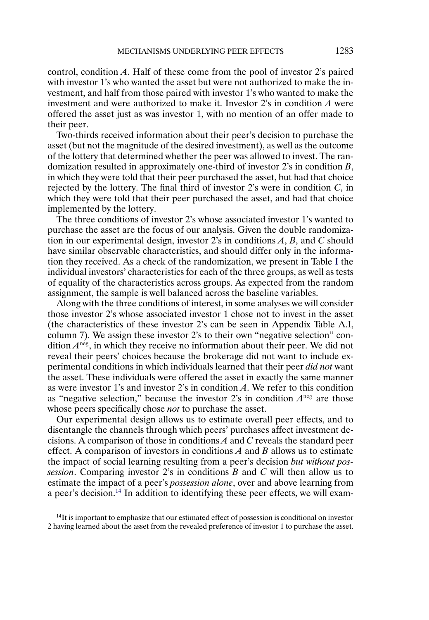<span id="page-11-0"></span>control, condition *A*. Half of these come from the pool of investor 2's paired with investor 1's who wanted the asset but were not authorized to make the investment, and half from those paired with investor 1's who wanted to make the investment and were authorized to make it. Investor 2's in condition *A* were offered the asset just as was investor 1, with no mention of an offer made to their peer.

Two-thirds received information about their peer's decision to purchase the asset (but not the magnitude of the desired investment), as well as the outcome of the lottery that determined whether the peer was allowed to invest. The randomization resulted in approximately one-third of investor 2's in condition *B*, in which they were told that their peer purchased the asset, but had that choice rejected by the lottery. The final third of investor 2's were in condition *C*, in which they were told that their peer purchased the asset, and had that choice implemented by the lottery.

The three conditions of investor 2's whose associated investor 1's wanted to purchase the asset are the focus of our analysis. Given the double randomization in our experimental design, investor 2's in conditions *A*, *B*, and *C* should have similar observable characteristics, and should differ only in the information they received. As a check of the randomization, we present in Table [I](#page-10-0) the individual investors' characteristics for each of the three groups, as well as tests of equality of the characteristics across groups. As expected from the random assignment, the sample is well balanced across the baseline variables.

Along with the three conditions of interest, in some analyses we will consider those investor 2's whose associated investor 1 chose not to invest in the asset (the characteristics of these investor 2's can be seen in Appendix Table A.I, column 7). We assign these investor 2's to their own "negative selection" condition *A*neg, in which they receive no information about their peer. We did not reveal their peers' choices because the brokerage did not want to include experimental conditions in which individuals learned that their peer *did not* want the asset. These individuals were offered the asset in exactly the same manner as were investor 1's and investor 2's in condition *A*. We refer to this condition as "negative selection," because the investor 2's in condition *A*neg are those whose peers specifically chose *not* to purchase the asset.

Our experimental design allows us to estimate overall peer effects, and to disentangle the channels through which peers' purchases affect investment decisions. A comparison of those in conditions *A* and *C* reveals the standard peer effect. A comparison of investors in conditions *A* and *B* allows us to estimate the impact of social learning resulting from a peer's decision *but without possession*. Comparing investor 2's in conditions *B* and *C* will then allow us to estimate the impact of a peer's *possession alone*, over and above learning from a peer's decision.14 In addition to identifying these peer effects, we will exam-

<sup>14</sup>It is important to emphasize that our estimated effect of possession is conditional on investor 2 having learned about the asset from the revealed preference of investor 1 to purchase the asset.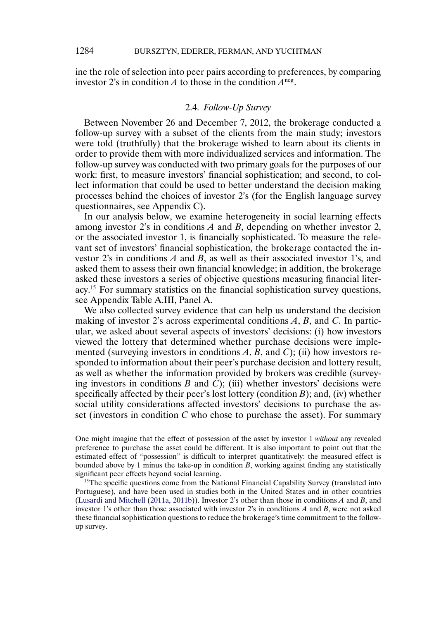<span id="page-12-0"></span>1284 BURSZTYN, EDERER, FERMAN, AND YUCHTMAN

ine the role of selection into peer pairs according to preferences, by comparing investor 2's in condition *A* to those in the condition  $\hat{A}^{\text{neg}}$ .

## 2.4. *Follow-Up Survey*

Between November 26 and December 7, 2012, the brokerage conducted a follow-up survey with a subset of the clients from the main study; investors were told (truthfully) that the brokerage wished to learn about its clients in order to provide them with more individualized services and information. The follow-up survey was conducted with two primary goals for the purposes of our work: first, to measure investors' financial sophistication; and second, to collect information that could be used to better understand the decision making processes behind the choices of investor 2's (for the English language survey questionnaires, see Appendix C).

In our analysis below, we examine heterogeneity in social learning effects among investor 2's in conditions *A* and *B*, depending on whether investor 2, or the associated investor 1, is financially sophisticated. To measure the relevant set of investors' financial sophistication, the brokerage contacted the investor 2's in conditions *A* and *B*, as well as their associated investor 1's, and asked them to assess their own financial knowledge; in addition, the brokerage asked these investors a series of objective questions measuring financial literacy.15 For summary statistics on the financial sophistication survey questions, see Appendix Table A.III, Panel A.

We also collected survey evidence that can help us understand the decision making of investor 2's across experimental conditions *A*, *B*, and *C*. In particular, we asked about several aspects of investors' decisions: (i) how investors viewed the lottery that determined whether purchase decisions were implemented (surveying investors in conditions  $A, B$ , and  $C$ ); (ii) how investors responded to information about their peer's purchase decision and lottery result, as well as whether the information provided by brokers was credible (surveying investors in conditions *B* and *C*); (iii) whether investors' decisions were specifically affected by their peer's lost lottery (condition *B*); and, (iv) whether social utility considerations affected investors' decisions to purchase the asset (investors in condition *C* who chose to purchase the asset). For summary

One might imagine that the effect of possession of the asset by investor 1 *without* any revealed preference to purchase the asset could be different. It is also important to point out that the estimated effect of "possession" is difficult to interpret quantitatively: the measured effect is bounded above by 1 minus the take-up in condition *B*, working against finding any statistically significant peer effects beyond social learning.

<sup>&</sup>lt;sup>15</sup>The specific questions come from the National Financial Capability Survey (translated into Portuguese), and have been used in studies both in the United States and in other countries [\(Lusardi and Mitchell](#page-29-0) [\(2011a,](#page-29-0) [2011b\)](#page-29-0)). Investor 2's other than those in conditions *A* and *B*, and investor 1's other than those associated with investor 2's in conditions *A* and *B*, were not asked these financial sophistication questions to reduce the brokerage's time commitment to the followup survey.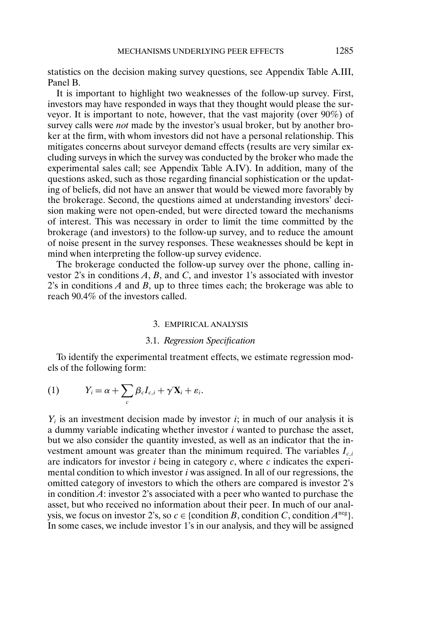<span id="page-13-0"></span>statistics on the decision making survey questions, see Appendix Table A.III, Panel B.

It is important to highlight two weaknesses of the follow-up survey. First, investors may have responded in ways that they thought would please the surveyor. It is important to note, however, that the vast majority (over 90%) of survey calls were *not* made by the investor's usual broker, but by another broker at the firm, with whom investors did not have a personal relationship. This mitigates concerns about surveyor demand effects (results are very similar excluding surveys in which the survey was conducted by the broker who made the experimental sales call; see Appendix Table A.IV). In addition, many of the questions asked, such as those regarding financial sophistication or the updating of beliefs, did not have an answer that would be viewed more favorably by the brokerage. Second, the questions aimed at understanding investors' decision making were not open-ended, but were directed toward the mechanisms of interest. This was necessary in order to limit the time committed by the brokerage (and investors) to the follow-up survey, and to reduce the amount of noise present in the survey responses. These weaknesses should be kept in mind when interpreting the follow-up survey evidence.

The brokerage conducted the follow-up survey over the phone, calling investor 2's in conditions *A*, *B*, and *C*, and investor 1's associated with investor 2's in conditions *A* and *B*, up to three times each; the brokerage was able to reach 90.4% of the investors called.

#### 3. EMPIRICAL ANALYSIS

#### 3.1. *Regression Specification*

To identify the experimental treatment effects, we estimate regression models of the following form:

(1) 
$$
Y_i = \alpha + \sum_c \beta_c I_{c,i} + \gamma' \mathbf{X}_i + \varepsilon_i.
$$

 $Y_i$  is an investment decision made by investor *i*; in much of our analysis it is a dummy variable indicating whether investor  $i$  wanted to purchase the asset, but we also consider the quantity invested, as well as an indicator that the investment amount was greater than the minimum required. The variables  $I_{ci}$ are indicators for investor  $i$  being in category  $c$ , where  $c$  indicates the experimental condition to which investor  $i$  was assigned. In all of our regressions, the omitted category of investors to which the others are compared is investor 2's in condition *A*: investor 2's associated with a peer who wanted to purchase the asset, but who received no information about their peer. In much of our analysis, we focus on investor 2's, so  $c \in \{$ condition *B*, condition *C*, condition  $A^{neg}\}.$ In some cases, we include investor 1's in our analysis, and they will be assigned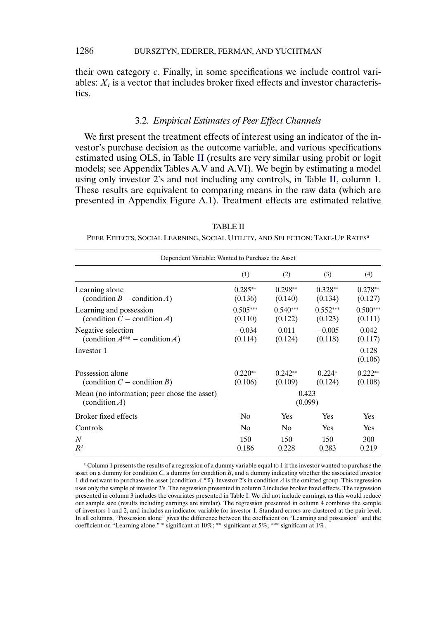<span id="page-14-0"></span>1286 BURSZTYN, EDERER, FERMAN, AND YUCHTMAN

their own category c. Finally, in some specifications we include control variables:  $X_i$  is a vector that includes broker fixed effects and investor characteristics.

#### 3.2. *Empirical Estimates of Peer Effect Channels*

We first present the treatment effects of interest using an indicator of the investor's purchase decision as the outcome variable, and various specifications estimated using OLS, in Table II (results are very similar using probit or logit models; see Appendix Tables A.V and A.VI). We begin by estimating a model using only investor 2's and not including any controls, in Table II, column 1. These results are equivalent to comparing means in the raw data (which are presented in Appendix Figure A.1). Treatment effects are estimated relative

TABLE II PEER EFFECTS, SOCIAL LEARNING, SOCIAL UTILITY, AND SELECTION: TAKE-UP RATES<sup>a</sup>

| Dependent Variable: Wanted to Purchase the Asset                |                       |                       |                       |                       |
|-----------------------------------------------------------------|-----------------------|-----------------------|-----------------------|-----------------------|
|                                                                 | (1)                   | (2)                   | (3)                   | (4)                   |
| Learning alone<br>(condition $B$ – condition $A$ )              | $0.285**$<br>(0.136)  | $0.298**$<br>(0.140)  | $0.328**$<br>(0.134)  | $0.278**$<br>(0.127)  |
| Learning and possession<br>(condition $C$ – condition A)        | $0.505***$<br>(0.110) | $0.540***$<br>(0.122) | $0.552***$<br>(0.123) | $0.500***$<br>(0.111) |
| Negative selection<br>(condition $A^{neg}$ – condition A)       | $-0.034$<br>(0.114)   | 0.011<br>(0.124)      | $-0.005$<br>(0.118)   | 0.042<br>(0.117)      |
| Investor 1                                                      |                       |                       |                       | 0.128<br>(0.106)      |
| Possession alone<br>(condition $C$ – condition B)               | $0.220**$<br>(0.106)  | $0.242**$<br>(0.109)  | $0.224*$<br>(0.124)   | $0.222**$<br>(0.108)  |
| Mean (no information; peer chose the asset)<br>(condition $A$ ) |                       |                       | 0.423<br>(0.099)      |                       |
| Broker fixed effects                                            | No                    | Yes                   | Yes                   | Yes                   |
| Controls                                                        | N <sub>0</sub>        | N <sub>0</sub>        | Yes                   | Yes                   |
| N<br>$R^2$                                                      | 150<br>0.186          | 150<br>0.228          | 150<br>0.283          | 300<br>0.219          |

<sup>a</sup>Column 1 presents the results of a regression of a dummy variable equal to 1 if the investor wanted to purchase the asset on a dummy for condition *C*, a dummy for condition *B*, and a dummy indicating whether the associated investor 1 did not want to purchase the asset (condition  $A^{neg}$ ). Investor 2's in condition A is the omitted group. This regression uses only the sample of investor 2's. The regression presented in column 2 includes broker fixed effects. The regression presented in column 3 includes the covariates presented in Table [I.](#page-10-0) We did not include earnings, as this would reduce our sample size (results including earnings are similar). The regression presented in column 4 combines the sample of investors 1 and 2, and includes an indicator variable for investor 1. Standard errors are clustered at the pair level. In all columns, "Possession alone" gives the difference between the coefficient on "Learning and possession" and the coefficient on "Learning alone." <sup>∗</sup> significant at 10%; ∗∗ significant at 5%; ∗∗∗ significant at 1%.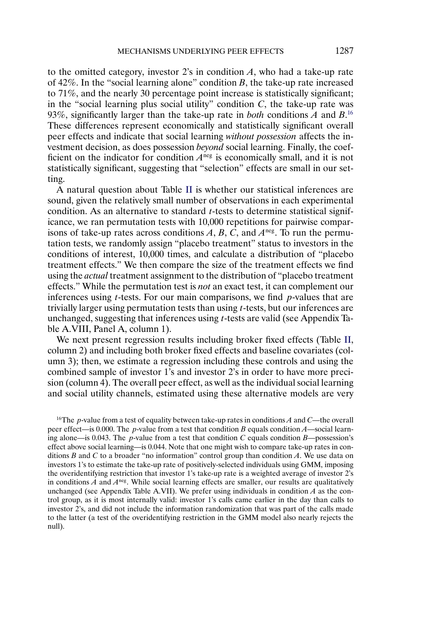to the omitted category, investor 2's in condition *A*, who had a take-up rate of 42%. In the "social learning alone" condition *B*, the take-up rate increased to 71%, and the nearly 30 percentage point increase is statistically significant; in the "social learning plus social utility" condition  $C$ , the take-up rate was 93%, significantly larger than the take-up rate in *both* conditions *A* and *B*. 16 These differences represent economically and statistically significant overall peer effects and indicate that social learning *without possession* affects the investment decision, as does possession *beyond* social learning. Finally, the coefficient on the indicator for condition  $A^{neg}$  is economically small, and it is not statistically significant, suggesting that "selection" effects are small in our setting.

A natural question about Table [II](#page-14-0) is whether our statistical inferences are sound, given the relatively small number of observations in each experimental condition. As an alternative to standard *t*-tests to determine statistical significance, we ran permutation tests with 10,000 repetitions for pairwise comparisons of take-up rates across conditions  $A$ ,  $B$ ,  $C$ , and  $A<sup>neg</sup>$ . To run the permutation tests, we randomly assign "placebo treatment" status to investors in the conditions of interest, 10,000 times, and calculate a distribution of "placebo treatment effects." We then compare the size of the treatment effects we find using the *actual* treatment assignment to the distribution of "placebo treatment effects." While the permutation test is *not* an exact test, it can complement our inferences using  $t$ -tests. For our main comparisons, we find  $p$ -values that are trivially larger using permutation tests than using t-tests, but our inferences are unchanged, suggesting that inferences using t-tests are valid (see Appendix Table A.VIII, Panel A, column 1).

We next present regression results including broker fixed effects (Table [II,](#page-14-0) column 2) and including both broker fixed effects and baseline covariates (column 3); then, we estimate a regression including these controls and using the combined sample of investor 1's and investor 2's in order to have more precision (column 4). The overall peer effect, as well as the individual social learning and social utility channels, estimated using these alternative models are very

<sup>16</sup>The *p*-value from a test of equality between take-up rates in conditions *A* and *C*—the overall peer effect—is 0.000. The p-value from a test that condition *B* equals condition *A*—social learning alone—is 0.043. The p-value from a test that condition *C* equals condition *B*—possession's effect above social learning—is 0.044. Note that one might wish to compare take-up rates in conditions *B* and *C* to a broader "no information" control group than condition *A*. We use data on investors 1's to estimate the take-up rate of positively-selected individuals using GMM, imposing the overidentifying restriction that investor 1's take-up rate is a weighted average of investor 2's in conditions  $A$  and  $A^{neg}$ . While social learning effects are smaller, our results are qualitatively unchanged (see Appendix Table A.VII). We prefer using individuals in condition *A* as the control group, as it is most internally valid: investor 1's calls came earlier in the day than calls to investor 2's, and did not include the information randomization that was part of the calls made to the latter (a test of the overidentifying restriction in the GMM model also nearly rejects the null).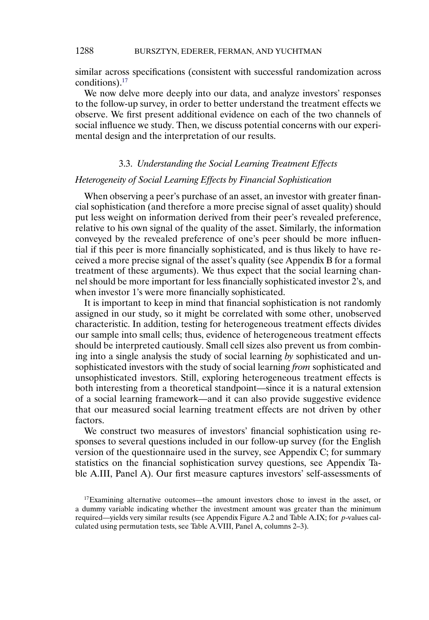similar across specifications (consistent with successful randomization across conditions).17

We now delve more deeply into our data, and analyze investors' responses to the follow-up survey, in order to better understand the treatment effects we observe. We first present additional evidence on each of the two channels of social influence we study. Then, we discuss potential concerns with our experimental design and the interpretation of our results.

## 3.3. *Understanding the Social Learning Treatment Effects*

## *Heterogeneity of Social Learning Effects by Financial Sophistication*

When observing a peer's purchase of an asset, an investor with greater financial sophistication (and therefore a more precise signal of asset quality) should put less weight on information derived from their peer's revealed preference, relative to his own signal of the quality of the asset. Similarly, the information conveyed by the revealed preference of one's peer should be more influential if this peer is more financially sophisticated, and is thus likely to have received a more precise signal of the asset's quality (see Appendix B for a formal treatment of these arguments). We thus expect that the social learning channel should be more important for less financially sophisticated investor 2's, and when investor 1's were more financially sophisticated.

It is important to keep in mind that financial sophistication is not randomly assigned in our study, so it might be correlated with some other, unobserved characteristic. In addition, testing for heterogeneous treatment effects divides our sample into small cells; thus, evidence of heterogeneous treatment effects should be interpreted cautiously. Small cell sizes also prevent us from combining into a single analysis the study of social learning *by* sophisticated and unsophisticated investors with the study of social learning *from* sophisticated and unsophisticated investors. Still, exploring heterogeneous treatment effects is both interesting from a theoretical standpoint—since it is a natural extension of a social learning framework—and it can also provide suggestive evidence that our measured social learning treatment effects are not driven by other factors.

We construct two measures of investors' financial sophistication using responses to several questions included in our follow-up survey (for the English version of the questionnaire used in the survey, see Appendix C; for summary statistics on the financial sophistication survey questions, see Appendix Table A.III, Panel A). Our first measure captures investors' self-assessments of

<sup>17</sup>Examining alternative outcomes—the amount investors chose to invest in the asset, or a dummy variable indicating whether the investment amount was greater than the minimum required—yields very similar results (see Appendix Figure A.2 and Table A.IX; for p-values calculated using permutation tests, see Table A.VIII, Panel A, columns 2–3).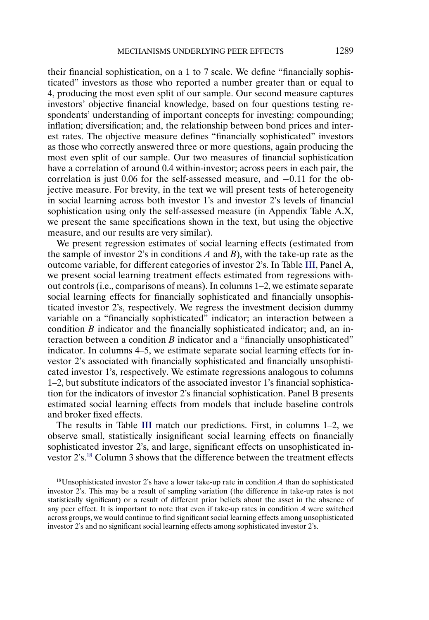their financial sophistication, on a 1 to 7 scale. We define "financially sophisticated" investors as those who reported a number greater than or equal to 4, producing the most even split of our sample. Our second measure captures investors' objective financial knowledge, based on four questions testing respondents' understanding of important concepts for investing: compounding; inflation; diversification; and, the relationship between bond prices and interest rates. The objective measure defines "financially sophisticated" investors as those who correctly answered three or more questions, again producing the most even split of our sample. Our two measures of financial sophistication have a correlation of around 0.4 within-investor; across peers in each pair, the correlation is just 0.06 for the self-assessed measure, and −0.11 for the objective measure. For brevity, in the text we will present tests of heterogeneity in social learning across both investor 1's and investor 2's levels of financial sophistication using only the self-assessed measure (in Appendix Table A.X, we present the same specifications shown in the text, but using the objective measure, and our results are very similar).

We present regression estimates of social learning effects (estimated from the sample of investor 2's in conditions  $A$  and  $B$ ), with the take-up rate as the outcome variable, for different categories of investor 2's. In Table [III,](#page-18-0) Panel A, we present social learning treatment effects estimated from regressions without controls (i.e., comparisons of means). In columns 1–2, we estimate separate social learning effects for financially sophisticated and financially unsophisticated investor 2's, respectively. We regress the investment decision dummy variable on a "financially sophisticated" indicator; an interaction between a condition *B* indicator and the financially sophisticated indicator; and, an interaction between a condition *B* indicator and a "financially unsophisticated" indicator. In columns 4–5, we estimate separate social learning effects for investor 2's associated with financially sophisticated and financially unsophisticated investor 1's, respectively. We estimate regressions analogous to columns 1–2, but substitute indicators of the associated investor 1's financial sophistication for the indicators of investor 2's financial sophistication. Panel B presents estimated social learning effects from models that include baseline controls and broker fixed effects.

The results in Table [III](#page-18-0) match our predictions. First, in columns 1–2, we observe small, statistically insignificant social learning effects on financially sophisticated investor 2's, and large, significant effects on unsophisticated investor 2's.18 Column 3 shows that the difference between the treatment effects

<sup>18</sup>Unsophisticated investor 2's have a lower take-up rate in condition A than do sophisticated investor 2's. This may be a result of sampling variation (the difference in take-up rates is not statistically significant) or a result of different prior beliefs about the asset in the absence of any peer effect. It is important to note that even if take-up rates in condition *A* were switched across groups, we would continue to find significant social learning effects among unsophisticated investor 2's and no significant social learning effects among sophisticated investor 2's.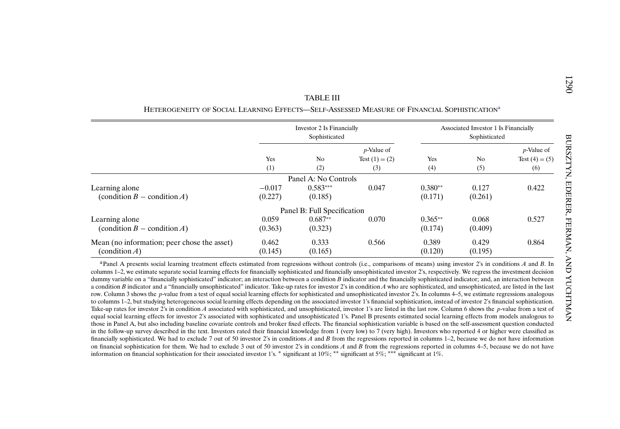| <b>CHACH</b><br>ŗ          |
|----------------------------|
| .<br>i<br>EDEKEI<br>ٳ<br>י |
| î,                         |
| r<br>T                     |

| HETEROGENEITY OF SOCIAL LEARNING EFFECTS—SELF-ASSESSED MEASURE OF FINANCIAL SOPHISTICATION <sup>a</sup> |
|---------------------------------------------------------------------------------------------------------|
|                                                                                                         |

<span id="page-18-0"></span>

| $p$ -Value of<br>Test $(4) = (5)$<br>No                                                                                                                                                                                                                                                                                                                                                                                                                                                                                                                                                                                                                                                                                                                                                                                                                                                                                                                                                                                                                                                                                                                |
|--------------------------------------------------------------------------------------------------------------------------------------------------------------------------------------------------------------------------------------------------------------------------------------------------------------------------------------------------------------------------------------------------------------------------------------------------------------------------------------------------------------------------------------------------------------------------------------------------------------------------------------------------------------------------------------------------------------------------------------------------------------------------------------------------------------------------------------------------------------------------------------------------------------------------------------------------------------------------------------------------------------------------------------------------------------------------------------------------------------------------------------------------------|
| (5)<br>(6)                                                                                                                                                                                                                                                                                                                                                                                                                                                                                                                                                                                                                                                                                                                                                                                                                                                                                                                                                                                                                                                                                                                                             |
|                                                                                                                                                                                                                                                                                                                                                                                                                                                                                                                                                                                                                                                                                                                                                                                                                                                                                                                                                                                                                                                                                                                                                        |
| 0.422<br>0.127<br>(0.261)                                                                                                                                                                                                                                                                                                                                                                                                                                                                                                                                                                                                                                                                                                                                                                                                                                                                                                                                                                                                                                                                                                                              |
|                                                                                                                                                                                                                                                                                                                                                                                                                                                                                                                                                                                                                                                                                                                                                                                                                                                                                                                                                                                                                                                                                                                                                        |
| 0.068<br>0.527<br>(0.409)                                                                                                                                                                                                                                                                                                                                                                                                                                                                                                                                                                                                                                                                                                                                                                                                                                                                                                                                                                                                                                                                                                                              |
| 0.429<br>0.864<br>(0.195)                                                                                                                                                                                                                                                                                                                                                                                                                                                                                                                                                                                                                                                                                                                                                                                                                                                                                                                                                                                                                                                                                                                              |
| <sup>a</sup> Panel A presents social learning treatment effects estimated from regressions without controls (i.e., comparisons of means) using investor $2$ 's in conditions A and B. In<br>columns 1-2, we estimate separate social learning effects for financially sophisticated and financially unsophisticated investor 2's, respectively. We regress the investment decision<br>dummy variable on a "financially sophisticated" indicator; an interaction between a condition $B$ indicator and the financially sophisticated indicator; and, an interaction between<br>a condition B indicator and a "financially unsophisticated" indicator. Take-up rates for investor 2's in condition A who are sophisticated, and unsophisticated, are listed in the last<br>row. Column 3 shows the p-value from a test of equal social learning effects for sophisticated and unsophisticated investor 2's. In columns 4-5, we estimate regressions analogous<br>to columns 1–2, but studying heterogeneous social learning effects depending on the associated investor 1's financial sophistication, instead of investor 2's financial sophistication. |

in the follow-up survey described in the text. Investors rated their financial knowledge from 1 (very low) to 7 (very high). Investors who reported 4 or higher were classified as financially sophisticated. We had to exclude 7 out of 50 investor 2's in conditions *A* and *B* from the regressions reported in columns 1–2, because we do not have information on financial sophistication for them. We had to exclude 3 out of 50 investor 2's in conditions *A* and *B* from the regressions reported in columns 4–5, because we do not have information on financial sophistication for their associated investor 1's. <sup>∗</sup> significant at 10%; ∗∗ significant at 5%; ∗∗∗ significant at 1%.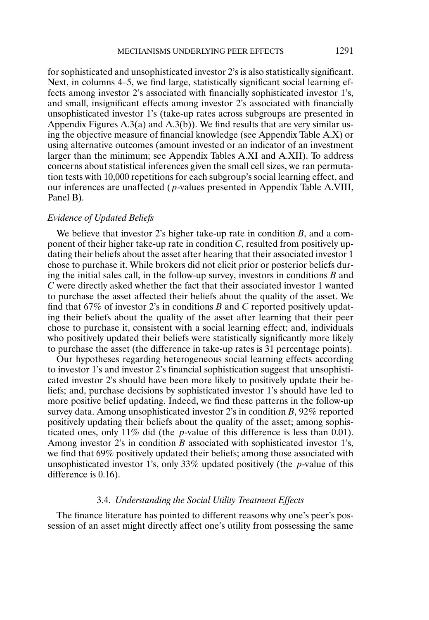for sophisticated and unsophisticated investor 2's is also statistically significant. Next, in columns 4–5, we find large, statistically significant social learning effects among investor 2's associated with financially sophisticated investor 1's, and small, insignificant effects among investor 2's associated with financially unsophisticated investor 1's (take-up rates across subgroups are presented in Appendix Figures A.3(a) and A.3(b)). We find results that are very similar using the objective measure of financial knowledge (see Appendix Table A.X) or using alternative outcomes (amount invested or an indicator of an investment larger than the minimum; see Appendix Tables A.XI and A.XII). To address concerns about statistical inferences given the small cell sizes, we ran permutation tests with 10,000 repetitions for each subgroup's social learning effect, and our inferences are unaffected (p-values presented in Appendix Table A.VIII, Panel B).

## *Evidence of Updated Beliefs*

We believe that investor 2's higher take-up rate in condition *B*, and a component of their higher take-up rate in condition *C*, resulted from positively updating their beliefs about the asset after hearing that their associated investor 1 chose to purchase it. While brokers did not elicit prior or posterior beliefs during the initial sales call, in the follow-up survey, investors in conditions *B* and *C* were directly asked whether the fact that their associated investor 1 wanted to purchase the asset affected their beliefs about the quality of the asset. We find that 67% of investor 2's in conditions *B* and *C* reported positively updating their beliefs about the quality of the asset after learning that their peer chose to purchase it, consistent with a social learning effect; and, individuals who positively updated their beliefs were statistically significantly more likely to purchase the asset (the difference in take-up rates is 31 percentage points).

Our hypotheses regarding heterogeneous social learning effects according to investor 1's and investor 2's financial sophistication suggest that unsophisticated investor 2's should have been more likely to positively update their beliefs; and, purchase decisions by sophisticated investor 1's should have led to more positive belief updating. Indeed, we find these patterns in the follow-up survey data. Among unsophisticated investor 2's in condition *B*, 92% reported positively updating their beliefs about the quality of the asset; among sophisticated ones, only 11% did (the p-value of this difference is less than 0.01). Among investor 2's in condition *B* associated with sophisticated investor 1's, we find that 69% positively updated their beliefs; among those associated with unsophisticated investor 1's, only 33% updated positively (the p-value of this difference is 0.16).

#### 3.4. *Understanding the Social Utility Treatment Effects*

The finance literature has pointed to different reasons why one's peer's possession of an asset might directly affect one's utility from possessing the same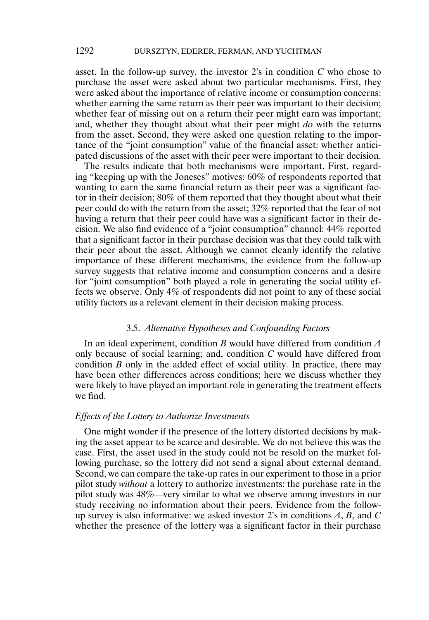asset. In the follow-up survey, the investor 2's in condition *C* who chose to purchase the asset were asked about two particular mechanisms. First, they were asked about the importance of relative income or consumption concerns: whether earning the same return as their peer was important to their decision; whether fear of missing out on a return their peer might earn was important; and, whether they thought about what their peer might *do* with the returns from the asset. Second, they were asked one question relating to the importance of the "joint consumption" value of the financial asset: whether anticipated discussions of the asset with their peer were important to their decision.

The results indicate that both mechanisms were important. First, regarding "keeping up with the Joneses" motives: 60% of respondents reported that wanting to earn the same financial return as their peer was a significant factor in their decision; 80% of them reported that they thought about what their peer could do with the return from the asset; 32% reported that the fear of not having a return that their peer could have was a significant factor in their decision. We also find evidence of a "joint consumption" channel: 44% reported that a significant factor in their purchase decision was that they could talk with their peer about the asset. Although we cannot cleanly identify the relative importance of these different mechanisms, the evidence from the follow-up survey suggests that relative income and consumption concerns and a desire for "joint consumption" both played a role in generating the social utility effects we observe. Only 4% of respondents did not point to any of these social utility factors as a relevant element in their decision making process.

## 3.5. *Alternative Hypotheses and Confounding Factors*

In an ideal experiment, condition *B* would have differed from condition *A* only because of social learning; and, condition *C* would have differed from condition *B* only in the added effect of social utility. In practice, there may have been other differences across conditions; here we discuss whether they were likely to have played an important role in generating the treatment effects we find.

## *Effects of the Lottery to Authorize Investments*

One might wonder if the presence of the lottery distorted decisions by making the asset appear to be scarce and desirable. We do not believe this was the case. First, the asset used in the study could not be resold on the market following purchase, so the lottery did not send a signal about external demand. Second, we can compare the take-up rates in our experiment to those in a prior pilot study *without* a lottery to authorize investments: the purchase rate in the pilot study was 48%—very similar to what we observe among investors in our study receiving no information about their peers. Evidence from the followup survey is also informative: we asked investor 2's in conditions *A*, *B*, and *C* whether the presence of the lottery was a significant factor in their purchase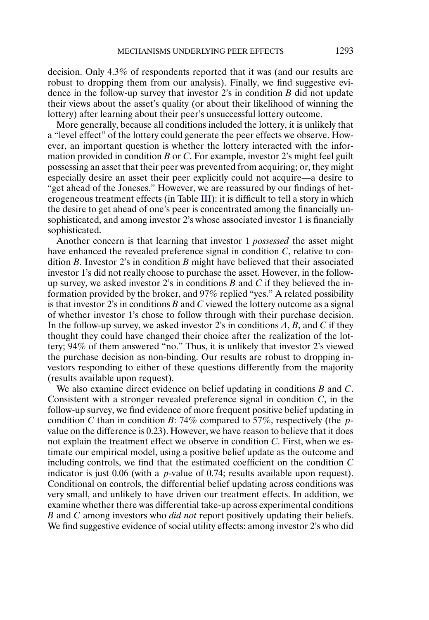<span id="page-21-0"></span>decision. Only 4.3% of respondents reported that it was (and our results are robust to dropping them from our analysis). Finally, we find suggestive evidence in the follow-up survey that investor 2's in condition *B* did not update their views about the asset's quality (or about their likelihood of winning the lottery) after learning about their peer's unsuccessful lottery outcome.

More generally, because all conditions included the lottery, it is unlikely that a "level effect" of the lottery could generate the peer effects we observe. However, an important question is whether the lottery interacted with the information provided in condition *B* or *C*. For example, investor 2's might feel guilt possessing an asset that their peer was prevented from acquiring; or, they might especially desire an asset their peer explicitly could not acquire—a desire to "get ahead of the Joneses." However, we are reassured by our findings of heterogeneous treatment effects (in Table [III\)](#page-18-0): it is difficult to tell a story in which the desire to get ahead of one's peer is concentrated among the financially unsophisticated, and among investor 2's whose associated investor 1 is financially sophisticated.

Another concern is that learning that investor 1 *possessed* the asset might have enhanced the revealed preference signal in condition *C*, relative to condition *B*. Investor 2's in condition *B* might have believed that their associated investor 1's did not really choose to purchase the asset. However, in the followup survey, we asked investor 2's in conditions *B* and *C* if they believed the information provided by the broker, and 97% replied "yes." A related possibility is that investor 2's in conditions *B* and *C* viewed the lottery outcome as a signal of whether investor 1's chose to follow through with their purchase decision. In the follow-up survey, we asked investor 2's in conditions *A*, *B*, and *C* if they thought they could have changed their choice after the realization of the lottery; 94% of them answered "no." Thus, it is unlikely that investor 2's viewed the purchase decision as non-binding. Our results are robust to dropping investors responding to either of these questions differently from the majority (results available upon request).

We also examine direct evidence on belief updating in conditions *B* and *C*. Consistent with a stronger revealed preference signal in condition *C*, in the follow-up survey, we find evidence of more frequent positive belief updating in condition *C* than in condition *B*: 74% compared to 57%, respectively (the *p*value on the difference is 0.23). However, we have reason to believe that it does not explain the treatment effect we observe in condition *C*. First, when we estimate our empirical model, using a positive belief update as the outcome and including controls, we find that the estimated coefficient on the condition *C* indicator is just 0.06 (with a  $p$ -value of 0.74; results available upon request). Conditional on controls, the differential belief updating across conditions was very small, and unlikely to have driven our treatment effects. In addition, we examine whether there was differential take-up across experimental conditions *B* and *C* among investors who *did not* report positively updating their beliefs. We find suggestive evidence of social utility effects: among investor 2's who did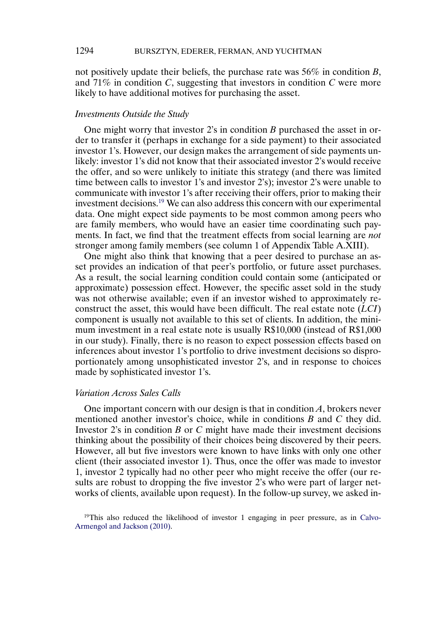<span id="page-22-0"></span>1294 BURSZTYN, EDERER, FERMAN, AND YUCHTMAN

not positively update their beliefs, the purchase rate was 56% in condition *B*, and 71% in condition *C*, suggesting that investors in condition *C* were more likely to have additional motives for purchasing the asset.

#### *Investments Outside the Study*

One might worry that investor 2's in condition *B* purchased the asset in order to transfer it (perhaps in exchange for a side payment) to their associated investor 1's. However, our design makes the arrangement of side payments unlikely: investor 1's did not know that their associated investor 2's would receive the offer, and so were unlikely to initiate this strategy (and there was limited time between calls to investor 1's and investor 2's); investor 2's were unable to communicate with investor 1's after receiving their offers, prior to making their investment decisions.19 We can also address this concern with our experimental data. One might expect side payments to be most common among peers who are family members, who would have an easier time coordinating such payments. In fact, we find that the treatment effects from social learning are *not* stronger among family members (see column 1 of Appendix Table A.XIII).

One might also think that knowing that a peer desired to purchase an asset provides an indication of that peer's portfolio, or future asset purchases. As a result, the social learning condition could contain some (anticipated or approximate) possession effect. However, the specific asset sold in the study was not otherwise available; even if an investor wished to approximately reconstruct the asset, this would have been difficult. The real estate note (*LCI*) component is usually not available to this set of clients. In addition, the minimum investment in a real estate note is usually R\$10,000 (instead of R\$1,000) in our study). Finally, there is no reason to expect possession effects based on inferences about investor 1's portfolio to drive investment decisions so disproportionately among unsophisticated investor 2's, and in response to choices made by sophisticated investor 1's.

#### *Variation Across Sales Calls*

One important concern with our design is that in condition *A*, brokers never mentioned another investor's choice, while in conditions *B* and *C* they did. Investor 2's in condition *B* or *C* might have made their investment decisions thinking about the possibility of their choices being discovered by their peers. However, all but five investors were known to have links with only one other client (their associated investor 1). Thus, once the offer was made to investor 1, investor 2 typically had no other peer who might receive the offer (our results are robust to dropping the five investor 2's who were part of larger networks of clients, available upon request). In the follow-up survey, we asked in-

<sup>19</sup>This also reduced the likelihood of investor 1 engaging in peer pressure, as in [Calvo-](#page-27-0)[Armengol and Jackson \(2010\).](#page-27-0)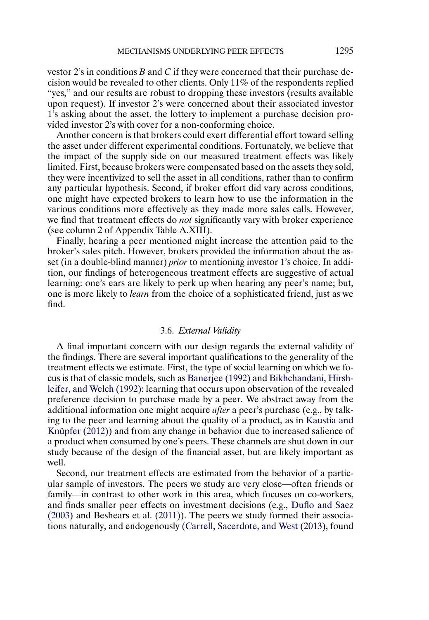<span id="page-23-0"></span>vestor 2's in conditions *B* and *C* if they were concerned that their purchase decision would be revealed to other clients. Only 11% of the respondents replied "yes," and our results are robust to dropping these investors (results available upon request). If investor 2's were concerned about their associated investor 1's asking about the asset, the lottery to implement a purchase decision provided investor 2's with cover for a non-conforming choice.

Another concern is that brokers could exert differential effort toward selling the asset under different experimental conditions. Fortunately, we believe that the impact of the supply side on our measured treatment effects was likely limited. First, because brokers were compensated based on the assets they sold, they were incentivized to sell the asset in all conditions, rather than to confirm any particular hypothesis. Second, if broker effort did vary across conditions, one might have expected brokers to learn how to use the information in the various conditions more effectively as they made more sales calls. However, we find that treatment effects do *not* significantly vary with broker experience (see column 2 of Appendix Table A.XIII).

Finally, hearing a peer mentioned might increase the attention paid to the broker's sales pitch. However, brokers provided the information about the asset (in a double-blind manner) *prior* to mentioning investor 1's choice. In addition, our findings of heterogeneous treatment effects are suggestive of actual learning: one's ears are likely to perk up when hearing any peer's name; but, one is more likely to *learn* from the choice of a sophisticated friend, just as we find.

#### 3.6. *External Validity*

A final important concern with our design regards the external validity of the findings. There are several important qualifications to the generality of the treatment effects we estimate. First, the type of social learning on which we focus is that of classic models, such as [Banerjee \(1992\)](#page-26-0) and [Bikhchandani, Hirsh](#page-26-0)[leifer, and Welch \(1992\):](#page-26-0) learning that occurs upon observation of the revealed preference decision to purchase made by a peer. We abstract away from the additional information one might acquire *after* a peer's purchase (e.g., by talking to the peer and learning about the quality of a product, as in [Kaustia and](#page-28-0) [Knüpfer \(2012\)\)](#page-28-0) and from any change in behavior due to increased salience of a product when consumed by one's peers. These channels are shut down in our study because of the design of the financial asset, but are likely important as well.

Second, our treatment effects are estimated from the behavior of a particular sample of investors. The peers we study are very close—often friends or family—in contrast to other work in this area, which focuses on co-workers, and finds smaller peer effects on investment decisions (e.g., [Duflo and Saez](#page-27-0) [\(2003\)](#page-27-0) and Beshears et al. [\(2011\)](#page-26-0)). The peers we study formed their associations naturally, and endogenously [\(Carrell, Sacerdote, and West \(2013\),](#page-27-0) found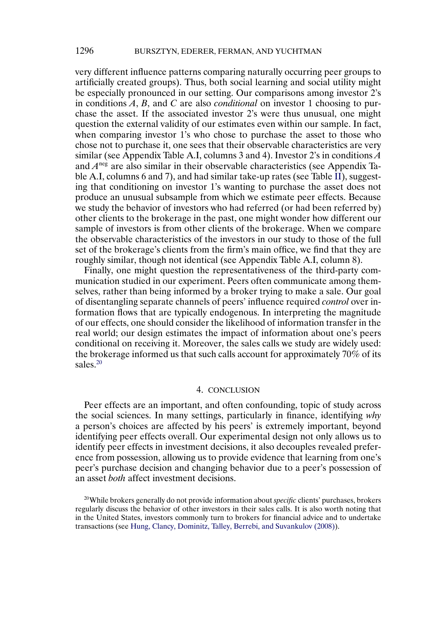very different influence patterns comparing naturally occurring peer groups to artificially created groups). Thus, both social learning and social utility might be especially pronounced in our setting. Our comparisons among investor 2's in conditions *A*, *B*, and *C* are also *conditional* on investor 1 choosing to purchase the asset. If the associated investor 2's were thus unusual, one might question the external validity of our estimates even within our sample. In fact, when comparing investor 1's who chose to purchase the asset to those who chose not to purchase it, one sees that their observable characteristics are very similar (see Appendix Table A.I, columns 3 and 4). Investor 2's in conditions *A* and *A*neg are also similar in their observable characteristics (see Appendix Table A.I, columns 6 and 7), and had similar take-up rates (see Table [II\)](#page-14-0), suggesting that conditioning on investor 1's wanting to purchase the asset does not produce an unusual subsample from which we estimate peer effects. Because we study the behavior of investors who had referred (or had been referred by) other clients to the brokerage in the past, one might wonder how different our sample of investors is from other clients of the brokerage. When we compare the observable characteristics of the investors in our study to those of the full set of the brokerage's clients from the firm's main office, we find that they are roughly similar, though not identical (see Appendix Table A.I, column 8).

Finally, one might question the representativeness of the third-party communication studied in our experiment. Peers often communicate among themselves, rather than being informed by a broker trying to make a sale. Our goal of disentangling separate channels of peers' influence required *control* over information flows that are typically endogenous. In interpreting the magnitude of our effects, one should consider the likelihood of information transfer in the real world; our design estimates the impact of information about one's peers conditional on receiving it. Moreover, the sales calls we study are widely used: the brokerage informed us that such calls account for approximately 70% of its sales. $20$ 

#### 4. CONCLUSION

Peer effects are an important, and often confounding, topic of study across the social sciences. In many settings, particularly in finance, identifying *why* a person's choices are affected by his peers' is extremely important, beyond identifying peer effects overall. Our experimental design not only allows us to identify peer effects in investment decisions, it also decouples revealed preference from possession, allowing us to provide evidence that learning from one's peer's purchase decision and changing behavior due to a peer's possession of an asset *both* affect investment decisions.

<span id="page-24-0"></span>

<sup>20</sup>While brokers generally do not provide information about *specific* clients' purchases, brokers regularly discuss the behavior of other investors in their sales calls. It is also worth noting that in the United States, investors commonly turn to brokers for financial advice and to undertake transactions (see [Hung, Clancy, Dominitz, Talley, Berrebi, and Suvankulov \(2008\)\)](#page-28-0).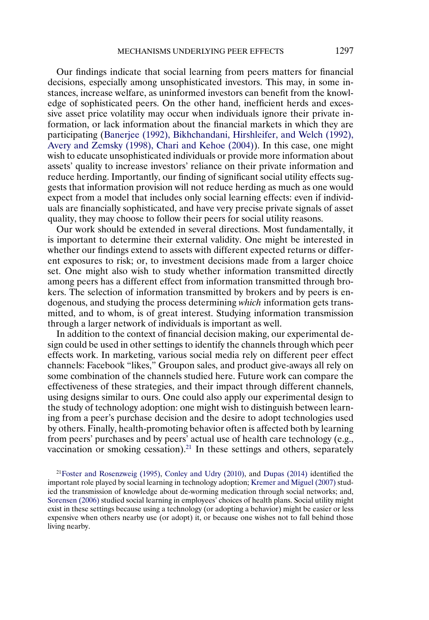Our findings indicate that social learning from peers matters for financial decisions, especially among unsophisticated investors. This may, in some instances, increase welfare, as uninformed investors can benefit from the knowledge of sophisticated peers. On the other hand, inefficient herds and excessive asset price volatility may occur when individuals ignore their private information, or lack information about the financial markets in which they are participating [\(Banerjee \(1992\), Bikhchandani, Hirshleifer, and Welch \(1992\),](#page-26-0) [Avery and Zemsky \(1998\), Chari and Kehoe \(2004\)\)](#page-26-0). In this case, one might wish to educate unsophisticated individuals or provide more information about assets' quality to increase investors' reliance on their private information and reduce herding. Importantly, our finding of significant social utility effects suggests that information provision will not reduce herding as much as one would expect from a model that includes only social learning effects: even if individuals are financially sophisticated, and have very precise private signals of asset quality, they may choose to follow their peers for social utility reasons.

Our work should be extended in several directions. Most fundamentally, it is important to determine their external validity. One might be interested in whether our findings extend to assets with different expected returns or different exposures to risk; or, to investment decisions made from a larger choice set. One might also wish to study whether information transmitted directly among peers has a different effect from information transmitted through brokers. The selection of information transmitted by brokers and by peers is endogenous, and studying the process determining *which* information gets transmitted, and to whom, is of great interest. Studying information transmission through a larger network of individuals is important as well.

In addition to the context of financial decision making, our experimental design could be used in other settings to identify the channels through which peer effects work. In marketing, various social media rely on different peer effect channels: Facebook "likes," Groupon sales, and product give-aways all rely on some combination of the channels studied here. Future work can compare the effectiveness of these strategies, and their impact through different channels, using designs similar to ours. One could also apply our experimental design to the study of technology adoption: one might wish to distinguish between learning from a peer's purchase decision and the desire to adopt technologies used by others. Finally, health-promoting behavior often is affected both by learning from peers' purchases and by peers' actual use of health care technology (e.g., vaccination or smoking cessation).<sup>21</sup> In these settings and others, separately

2[1Foster and Rosenzweig \(1995\),](#page-28-0) [Conley and Udry \(2010\),](#page-27-0) and [Dupas \(2014\)](#page-27-0) identified the important role played by social learning in technology adoption; [Kremer and Miguel \(2007\)](#page-28-0) studied the transmission of knowledge about de-worming medication through social networks; and, [Sorensen \(2006\)](#page-29-0) studied social learning in employees' choices of health plans. Social utility might exist in these settings because using a technology (or adopting a behavior) might be easier or less expensive when others nearby use (or adopt) it, or because one wishes not to fall behind those living nearby.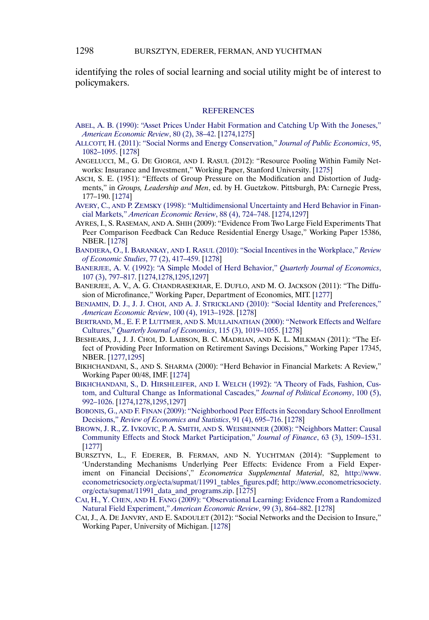identifying the roles of social learning and social utility might be of interest to policymakers.

#### **[REFERENCES](http://www.e-publications.org/srv/ecta/linkserver/setprefs?rfe_id=urn:sici%2F0012-9682%28201407%2982%3A4%3C1273%3AUMUPEE%3E2.0.CO%3B2-J)**

- [ABEL, A. B. \(1990\): "Asset Prices Under Habit Formation and Catching Up With the Joneses,"](http://www.e-publications.org/srv/ecta/linkserver/openurl?rft_dat=bib:1/abel1990&rfe_id=urn:sici%2F0012-9682%28201407%2982%3A4%3C1273%3AUMUPEE%3E2.0.CO%3B2-J) *[American Economic Review](http://www.e-publications.org/srv/ecta/linkserver/openurl?rft_dat=bib:1/abel1990&rfe_id=urn:sici%2F0012-9682%28201407%2982%3A4%3C1273%3AUMUPEE%3E2.0.CO%3B2-J)*, 80 (2), 38–42. [\[1274,](#page-1-0)[1275\]](#page-2-0)
- [ALLCOTT, H. \(2011\): "Social Norms and Energy Conservation,"](http://www.e-publications.org/srv/ecta/linkserver/openurl?rft_dat=bib:2/allcott2011&rfe_id=urn:sici%2F0012-9682%28201407%2982%3A4%3C1273%3AUMUPEE%3E2.0.CO%3B2-J) *Journal of Public Economics*, 95, [1082–1095.](http://www.e-publications.org/srv/ecta/linkserver/openurl?rft_dat=bib:2/allcott2011&rfe_id=urn:sici%2F0012-9682%28201407%2982%3A4%3C1273%3AUMUPEE%3E2.0.CO%3B2-J) [\[1278\]](#page-5-0)
- ANGELUCCI, M., G. DE GIORGI, AND I. RASUL (2012): "Resource Pooling Within Family Networks: Insurance and Investment," Working Paper, Stanford University. [\[1275\]](#page-2-0)
- ASCH, S. E. (1951): "Effects of Group Pressure on the Modification and Distortion of Judgments," in *Groups, Leadership and Men*, ed. by H. Guetzkow. Pittsburgh, PA: Carnegie Press, 177–190. [\[1274\]](#page-1-0)
- AVERY, C., AND P. ZEMSKY [\(1998\): "Multidimensional Uncertainty and Herd Behavior in Finan](http://www.e-publications.org/srv/ecta/linkserver/openurl?rft_dat=bib:5/averyz1998&rfe_id=urn:sici%2F0012-9682%28201407%2982%3A4%3C1273%3AUMUPEE%3E2.0.CO%3B2-J)cial Markets," *[American Economic Review](http://www.e-publications.org/srv/ecta/linkserver/openurl?rft_dat=bib:5/averyz1998&rfe_id=urn:sici%2F0012-9682%28201407%2982%3A4%3C1273%3AUMUPEE%3E2.0.CO%3B2-J)*, 88 (4), 724–748. [\[1274](#page-1-0)[,1297\]](#page-24-0)
- AYRES, I., S. RASEMAN, AND A. SHIH (2009): "Evidence From Two Large Field Experiments That Peer Comparison Feedback Can Reduce Residential Energy Usage," Working Paper 15386, NBER. [\[1278\]](#page-5-0)
- BANDIERA, O., I. BARANKAY, AND I. RASUL [\(2010\): "Social Incentives in the Workplace,"](http://www.e-publications.org/srv/ecta/linkserver/openurl?rft_dat=bib:7/bandierabr2010&rfe_id=urn:sici%2F0012-9682%28201407%2982%3A4%3C1273%3AUMUPEE%3E2.0.CO%3B2-J) *Review [of Economic Studies](http://www.e-publications.org/srv/ecta/linkserver/openurl?rft_dat=bib:7/bandierabr2010&rfe_id=urn:sici%2F0012-9682%28201407%2982%3A4%3C1273%3AUMUPEE%3E2.0.CO%3B2-J)*, 77 (2), 417–459. [\[1278\]](#page-5-0)
- [BANERJEE, A. V. \(1992\): "A Simple Model of Herd Behavior,"](http://www.e-publications.org/srv/ecta/linkserver/openurl?rft_dat=bib:8/banerjee1992&rfe_id=urn:sici%2F0012-9682%28201407%2982%3A4%3C1273%3AUMUPEE%3E2.0.CO%3B2-J) *Quarterly Journal of Economics*, [107 \(3\), 797–817.](http://www.e-publications.org/srv/ecta/linkserver/openurl?rft_dat=bib:8/banerjee1992&rfe_id=urn:sici%2F0012-9682%28201407%2982%3A4%3C1273%3AUMUPEE%3E2.0.CO%3B2-J) [\[1274,](#page-1-0)[1278,](#page-5-0)[1295,](#page-22-0)[1297\]](#page-24-0)
- BANERJEE, A. V., A. G. CHANDRASEKHAR, E. DUFLO, AND M. O. JACKSON (2011): "The Diffusion of Microfinance," Working Paper, Department of Economics, MIT. [\[1277\]](#page-4-0)
- BENJAMIN, D. J., J. J. CHOI, AND A. J. STRICKLAND [\(2010\): "Social Identity and Preferences,"](http://www.e-publications.org/srv/ecta/linkserver/openurl?rft_dat=bib:10/benjamincs2010&rfe_id=urn:sici%2F0012-9682%28201407%2982%3A4%3C1273%3AUMUPEE%3E2.0.CO%3B2-J) *[American Economic Review](http://www.e-publications.org/srv/ecta/linkserver/openurl?rft_dat=bib:10/benjamincs2010&rfe_id=urn:sici%2F0012-9682%28201407%2982%3A4%3C1273%3AUMUPEE%3E2.0.CO%3B2-J)*, 100 (4), 1913–1928. [\[1278\]](#page-5-0)
- BERTRAND, M., E. F. P. LUTTMER, AND S. MULLAINATHAN [\(2000\): "Network Effects and Welfare](http://www.e-publications.org/srv/ecta/linkserver/openurl?rft_dat=bib:11/bertrandlm2000&rfe_id=urn:sici%2F0012-9682%28201407%2982%3A4%3C1273%3AUMUPEE%3E2.0.CO%3B2-J) Cultures," *[Quarterly Journal of Economics](http://www.e-publications.org/srv/ecta/linkserver/openurl?rft_dat=bib:11/bertrandlm2000&rfe_id=urn:sici%2F0012-9682%28201407%2982%3A4%3C1273%3AUMUPEE%3E2.0.CO%3B2-J)*, 115 (3), 1019–1055. [\[1278\]](#page-5-0)
- BESHEARS, J., J. J. CHOI, D. LAIBSON, B. C. MADRIAN, AND K. L. MILKMAN (2011): "The Effect of Providing Peer Information on Retirement Savings Decisions," Working Paper 17345, NBER. [\[1277,](#page-4-0)[1295\]](#page-22-0)
- BIKHCHANDANI, S., AND S. SHARMA (2000): "Herd Behavior in Financial Markets: A Review," Working Paper 00/48, IMF. [\[1274\]](#page-1-0)
- BIKHCHANDANI, S., D. HIRSHLEIFER, AND I. WELCH [\(1992\): "A Theory of Fads, Fashion, Cus](http://www.e-publications.org/srv/ecta/linkserver/openurl?rft_dat=bib:14/bikhchandanihw1992&rfe_id=urn:sici%2F0012-9682%28201407%2982%3A4%3C1273%3AUMUPEE%3E2.0.CO%3B2-J)[tom, and Cultural Change as Informational Cascades,"](http://www.e-publications.org/srv/ecta/linkserver/openurl?rft_dat=bib:14/bikhchandanihw1992&rfe_id=urn:sici%2F0012-9682%28201407%2982%3A4%3C1273%3AUMUPEE%3E2.0.CO%3B2-J) *Journal of Political Economy*, 100 (5), [992–1026.](http://www.e-publications.org/srv/ecta/linkserver/openurl?rft_dat=bib:14/bikhchandanihw1992&rfe_id=urn:sici%2F0012-9682%28201407%2982%3A4%3C1273%3AUMUPEE%3E2.0.CO%3B2-J) [\[1274](#page-1-0)[,1278](#page-5-0)[,1295](#page-22-0)[,1297\]](#page-24-0)
- BOBONIS, G., AND F. FINAN [\(2009\): "Neighborhood Peer Effects in Secondary School Enrollment](http://www.e-publications.org/srv/ecta/linkserver/openurl?rft_dat=bib:15/bobonisf2009&rfe_id=urn:sici%2F0012-9682%28201407%2982%3A4%3C1273%3AUMUPEE%3E2.0.CO%3B2-J) Decisions," *[Review of Economics and Statistics](http://www.e-publications.org/srv/ecta/linkserver/openurl?rft_dat=bib:15/bobonisf2009&rfe_id=urn:sici%2F0012-9682%28201407%2982%3A4%3C1273%3AUMUPEE%3E2.0.CO%3B2-J)*, 91 (4), 695–716. [\[1278\]](#page-5-0)
- [BROWN, J. R., Z. IVKOVIC, P. A. SMITH,](http://www.e-publications.org/srv/ecta/linkserver/openurl?rft_dat=bib:16/brownisw2008&rfe_id=urn:sici%2F0012-9682%28201407%2982%3A4%3C1273%3AUMUPEE%3E2.0.CO%3B2-J) AND S. WEISBENNER (2008): "Neighbors Matter: Causal [Community Effects and Stock Market Participation,"](http://www.e-publications.org/srv/ecta/linkserver/openurl?rft_dat=bib:16/brownisw2008&rfe_id=urn:sici%2F0012-9682%28201407%2982%3A4%3C1273%3AUMUPEE%3E2.0.CO%3B2-J) *Journal of Finance*, 63 (3), 1509–1531. [\[1277\]](#page-4-0)
- BURSZTYN, L., F. EDERER, B. FERMAN, AND N. YUCHTMAN (2014): "Supplement to 'Understanding Mechanisms Underlying Peer Effects: Evidence From a Field Experiment on Financial Decisions'," *Econometrica Supplemental Material*, 82, [http://www.](http://www.econometricsociety.org/ecta/supmat/11991_tables_figures.pdf) [econometricsociety.org/ecta/supmat/11991\\_tables\\_figures.pdf](http://www.econometricsociety.org/ecta/supmat/11991_tables_figures.pdf); [http://www.econometricsociety.](http://www.econometricsociety.org/ecta/supmat/11991_data_and_programs.zip) [org/ecta/supmat/11991\\_data\\_and\\_programs.zip](http://www.econometricsociety.org/ecta/supmat/11991_data_and_programs.zip). [\[1275\]](#page-2-0)
- CAI, H., Y. CHEN, AND H. FANG [\(2009\): "Observational Learning: Evidence From a Randomized](http://www.e-publications.org/srv/ecta/linkserver/openurl?rft_dat=bib:18/caicf2009&rfe_id=urn:sici%2F0012-9682%28201407%2982%3A4%3C1273%3AUMUPEE%3E2.0.CO%3B2-J) [Natural Field Experiment,"](http://www.e-publications.org/srv/ecta/linkserver/openurl?rft_dat=bib:18/caicf2009&rfe_id=urn:sici%2F0012-9682%28201407%2982%3A4%3C1273%3AUMUPEE%3E2.0.CO%3B2-J) *American Economic Review*, 99 (3), 864–882. [\[1278\]](#page-5-0)
- CAI, J., A. DE JANVRY, AND E. SADOULET (2012): "Social Networks and the Decision to Insure," Working Paper, University of Michigan. [\[1278\]](#page-5-0)

<span id="page-26-0"></span>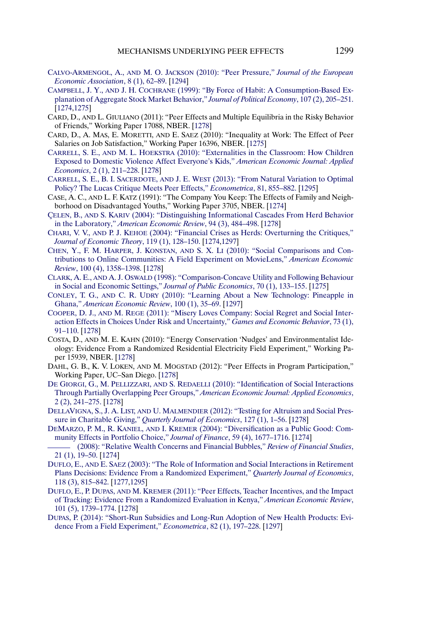- <span id="page-27-0"></span>CALVO-ARMENGOL, A., AND M. O. JACKSON [\(2010\): "Peer Pressure,"](http://www.e-publications.org/srv/ecta/linkserver/openurl?rft_dat=bib:20/calvoj2010&rfe_id=urn:sici%2F0012-9682%28201407%2982%3A4%3C1273%3AUMUPEE%3E2.0.CO%3B2-J) *Journal of the European [Economic Association](http://www.e-publications.org/srv/ecta/linkserver/openurl?rft_dat=bib:20/calvoj2010&rfe_id=urn:sici%2F0012-9682%28201407%2982%3A4%3C1273%3AUMUPEE%3E2.0.CO%3B2-J)*, 8 (1), 62–89. [\[1294\]](#page-21-0)
- CAMPBELL, J. Y., AND J. H. COCHRANE [\(1999\): "By Force of Habit: A Consumption-Based Ex](http://www.e-publications.org/srv/ecta/linkserver/openurl?rft_dat=bib:21/campbellc1999&rfe_id=urn:sici%2F0012-9682%28201407%2982%3A4%3C1273%3AUMUPEE%3E2.0.CO%3B2-J)[planation of Aggregate Stock Market Behavior,"](http://www.e-publications.org/srv/ecta/linkserver/openurl?rft_dat=bib:21/campbellc1999&rfe_id=urn:sici%2F0012-9682%28201407%2982%3A4%3C1273%3AUMUPEE%3E2.0.CO%3B2-J) *Journal of Political Economy*, 107 (2), 205–251. [\[1274,](#page-1-0)[1275\]](#page-2-0)
- CARD, D., AND L. GIULIANO (2011): "Peer Effects and Multiple Equilibria in the Risky Behavior of Friends," Working Paper 17088, NBER. [\[1278\]](#page-5-0)
- CARD, D., A. MAS, E. MORETTI, AND E. SAEZ (2010): "Inequality at Work: The Effect of Peer Salaries on Job Satisfaction," Working Paper 16396, NBER. [\[1275\]](#page-2-0)
- CARRELL, S. E., AND M. L. HOEKSTRA [\(2010\): "Externalities in the Classroom: How Children](http://www.e-publications.org/srv/ecta/linkserver/openurl?rft_dat=bib:24/carrellh2010&rfe_id=urn:sici%2F0012-9682%28201407%2982%3A4%3C1273%3AUMUPEE%3E2.0.CO%3B2-J) [Exposed to Domestic Violence Affect Everyone's Kids,"](http://www.e-publications.org/srv/ecta/linkserver/openurl?rft_dat=bib:24/carrellh2010&rfe_id=urn:sici%2F0012-9682%28201407%2982%3A4%3C1273%3AUMUPEE%3E2.0.CO%3B2-J) *American Economic Journal: Applied Economics*[, 2 \(1\), 211–228.](http://www.e-publications.org/srv/ecta/linkserver/openurl?rft_dat=bib:24/carrellh2010&rfe_id=urn:sici%2F0012-9682%28201407%2982%3A4%3C1273%3AUMUPEE%3E2.0.CO%3B2-J) [\[1278\]](#page-5-0)
- CARRELL, S. E., B. I. SACERDOTE, AND J. E. WEST [\(2013\): "From Natural Variation to Optimal](http://www.e-publications.org/srv/ecta/linkserver/openurl?rft_dat=bib:25/carrellsw2011&rfe_id=urn:sici%2F0012-9682%28201407%2982%3A4%3C1273%3AUMUPEE%3E2.0.CO%3B2-J) [Policy? The Lucas Critique Meets Peer Effects,"](http://www.e-publications.org/srv/ecta/linkserver/openurl?rft_dat=bib:25/carrellsw2011&rfe_id=urn:sici%2F0012-9682%28201407%2982%3A4%3C1273%3AUMUPEE%3E2.0.CO%3B2-J) *Econometrica*, 81, 855–882. [\[1295\]](#page-22-0)
- CASE, A. C., AND L. F. KATZ (1991): "The Company You Keep: The Effects of Family and Neighborhood on Disadvantaged Youths," Working Paper 3705, NBER. [\[1274\]](#page-1-0)
- ÇELEN, B., AND S. KARIV [\(2004\): "Distinguishing Informational Cascades From Herd Behavior](http://www.e-publications.org/srv/ecta/linkserver/openurl?rft_dat=bib:27/celenk2004&rfe_id=urn:sici%2F0012-9682%28201407%2982%3A4%3C1273%3AUMUPEE%3E2.0.CO%3B2-J) in the Laboratory," *[American Economic Review](http://www.e-publications.org/srv/ecta/linkserver/openurl?rft_dat=bib:27/celenk2004&rfe_id=urn:sici%2F0012-9682%28201407%2982%3A4%3C1273%3AUMUPEE%3E2.0.CO%3B2-J)*, 94 (3), 484–498. [\[1278\]](#page-5-0)
- CHARI, V. V., AND P. J. KEHOE [\(2004\): "Financial Crises as Herds: Overturning the Critiques,"](http://www.e-publications.org/srv/ecta/linkserver/openurl?rft_dat=bib:28/charik2004&rfe_id=urn:sici%2F0012-9682%28201407%2982%3A4%3C1273%3AUMUPEE%3E2.0.CO%3B2-J) *[Journal of Economic Theory](http://www.e-publications.org/srv/ecta/linkserver/openurl?rft_dat=bib:28/charik2004&rfe_id=urn:sici%2F0012-9682%28201407%2982%3A4%3C1273%3AUMUPEE%3E2.0.CO%3B2-J)*, 119 (1), 128–150. [\[1274,](#page-1-0)[1297\]](#page-24-0)
- [CHEN, Y., F. M. HARPER, J. KONSTAN,](http://www.e-publications.org/srv/ecta/linkserver/openurl?rft_dat=bib:29/chenhkl2010&rfe_id=urn:sici%2F0012-9682%28201407%2982%3A4%3C1273%3AUMUPEE%3E2.0.CO%3B2-J) AND S. X. LI (2010): "Social Comparisons and Con[tributions to Online Communities: A Field Experiment on MovieLens,"](http://www.e-publications.org/srv/ecta/linkserver/openurl?rft_dat=bib:29/chenhkl2010&rfe_id=urn:sici%2F0012-9682%28201407%2982%3A4%3C1273%3AUMUPEE%3E2.0.CO%3B2-J) *American Economic Review*[, 100 \(4\), 1358–1398.](http://www.e-publications.org/srv/ecta/linkserver/openurl?rft_dat=bib:29/chenhkl2010&rfe_id=urn:sici%2F0012-9682%28201407%2982%3A4%3C1273%3AUMUPEE%3E2.0.CO%3B2-J) [\[1278\]](#page-5-0)
- CLARK, A. E., AND A. J. OSWALD [\(1998\): "Comparison-Concave Utility and Following Behaviour](http://www.e-publications.org/srv/ecta/linkserver/openurl?rft_dat=bib:30/clarko1998&rfe_id=urn:sici%2F0012-9682%28201407%2982%3A4%3C1273%3AUMUPEE%3E2.0.CO%3B2-J) [in Social and Economic Settings,"](http://www.e-publications.org/srv/ecta/linkserver/openurl?rft_dat=bib:30/clarko1998&rfe_id=urn:sici%2F0012-9682%28201407%2982%3A4%3C1273%3AUMUPEE%3E2.0.CO%3B2-J) *Journal of Public Economics*, 70 (1), 133–155. [\[1275\]](#page-2-0)
- CONLEY, T. G., AND C. R. UDRY [\(2010\): "Learning About a New Technology: Pineapple in](http://www.e-publications.org/srv/ecta/linkserver/openurl?rft_dat=bib:31/conleyu2010&rfe_id=urn:sici%2F0012-9682%28201407%2982%3A4%3C1273%3AUMUPEE%3E2.0.CO%3B2-J) Ghana," *[American Economic Review](http://www.e-publications.org/srv/ecta/linkserver/openurl?rft_dat=bib:31/conleyu2010&rfe_id=urn:sici%2F0012-9682%28201407%2982%3A4%3C1273%3AUMUPEE%3E2.0.CO%3B2-J)*, 100 (1), 35–69. [\[1297\]](#page-24-0)
- COOPER, D. J., AND M. REGE [\(2011\): "Misery Loves Company: Social Regret and Social Inter](http://www.e-publications.org/srv/ecta/linkserver/openurl?rft_dat=bib:32/cooperr2011&rfe_id=urn:sici%2F0012-9682%28201407%2982%3A4%3C1273%3AUMUPEE%3E2.0.CO%3B2-J)[action Effects in Choices Under Risk and Uncertainty,"](http://www.e-publications.org/srv/ecta/linkserver/openurl?rft_dat=bib:32/cooperr2011&rfe_id=urn:sici%2F0012-9682%28201407%2982%3A4%3C1273%3AUMUPEE%3E2.0.CO%3B2-J) *Games and Economic Behavior*, 73 (1), [91–110.](http://www.e-publications.org/srv/ecta/linkserver/openurl?rft_dat=bib:32/cooperr2011&rfe_id=urn:sici%2F0012-9682%28201407%2982%3A4%3C1273%3AUMUPEE%3E2.0.CO%3B2-J) [\[1278\]](#page-5-0)
- COSTA, D., AND M. E. KAHN (2010): "Energy Conservation 'Nudges' and Environmentalist Ideology: Evidence From a Randomized Residential Electricity Field Experiment," Working Paper 15939, NBER. [\[1278\]](#page-5-0)
- DAHL, G. B., K. V. LOKEN, AND M. MOGSTAD (2012): "Peer Effects in Program Participation," Working Paper, UC–San Diego. [\[1278\]](#page-5-0)
- DE GIORGI, G., M. PELLIZZARI, AND S. REDAELLI [\(2010\): "Identification of Social Interactions](http://www.e-publications.org/srv/ecta/linkserver/openurl?rft_dat=bib:35/degiorgipr2010&rfe_id=urn:sici%2F0012-9682%28201407%2982%3A4%3C1273%3AUMUPEE%3E2.0.CO%3B2-J) Through Partially Overlapping Peer Groups," *[American Economic Journal: Applied Economics](http://www.e-publications.org/srv/ecta/linkserver/openurl?rft_dat=bib:35/degiorgipr2010&rfe_id=urn:sici%2F0012-9682%28201407%2982%3A4%3C1273%3AUMUPEE%3E2.0.CO%3B2-J)*, [2 \(2\), 241–275.](http://www.e-publications.org/srv/ecta/linkserver/openurl?rft_dat=bib:35/degiorgipr2010&rfe_id=urn:sici%2F0012-9682%28201407%2982%3A4%3C1273%3AUMUPEE%3E2.0.CO%3B2-J) [\[1278\]](#page-5-0)
- DELLAVIGNA, S., J. A. LIST, AND U. MALMENDIER [\(2012\): "Testing for Altruism and Social Pres](http://www.e-publications.org/srv/ecta/linkserver/openurl?rft_dat=bib:36/dellavignalm2012&rfe_id=urn:sici%2F0012-9682%28201407%2982%3A4%3C1273%3AUMUPEE%3E2.0.CO%3B2-J)sure in Charitable Giving," *[Quarterly Journal of Economics](http://www.e-publications.org/srv/ecta/linkserver/openurl?rft_dat=bib:36/dellavignalm2012&rfe_id=urn:sici%2F0012-9682%28201407%2982%3A4%3C1273%3AUMUPEE%3E2.0.CO%3B2-J)*, 127 (1), 1–56. [\[1278\]](#page-5-0)
- DEMARZO, P. M., R. KANIEL, AND I. KREMER [\(2004\): "Diversification as a Public Good: Com](http://www.e-publications.org/srv/ecta/linkserver/openurl?rft_dat=bib:37/demarzokk2004&rfe_id=urn:sici%2F0012-9682%28201407%2982%3A4%3C1273%3AUMUPEE%3E2.0.CO%3B2-J)[munity Effects in Portfolio Choice,"](http://www.e-publications.org/srv/ecta/linkserver/openurl?rft_dat=bib:37/demarzokk2004&rfe_id=urn:sici%2F0012-9682%28201407%2982%3A4%3C1273%3AUMUPEE%3E2.0.CO%3B2-J) *Journal of Finance*, 59 (4), 1677–1716. [\[1274\]](#page-1-0)

[\(2008\): "Relative Wealth Concerns and Financial Bubbles,"](http://www.e-publications.org/srv/ecta/linkserver/openurl?rft_dat=bib:38/demarzokk2008&rfe_id=urn:sici%2F0012-9682%28201407%2982%3A4%3C1273%3AUMUPEE%3E2.0.CO%3B2-J) *Review of Financial Studies*, [21 \(1\), 19–50.](http://www.e-publications.org/srv/ecta/linkserver/openurl?rft_dat=bib:38/demarzokk2008&rfe_id=urn:sici%2F0012-9682%28201407%2982%3A4%3C1273%3AUMUPEE%3E2.0.CO%3B2-J) [\[1274\]](#page-1-0)

- DUFLO, E., AND E. SAEZ [\(2003\): "The Role of Information and Social Interactions in Retirement](http://www.e-publications.org/srv/ecta/linkserver/openurl?rft_dat=bib:39/duflos2003&rfe_id=urn:sici%2F0012-9682%28201407%2982%3A4%3C1273%3AUMUPEE%3E2.0.CO%3B2-J) [Plans Decisions: Evidence From a Randomized Experiment,"](http://www.e-publications.org/srv/ecta/linkserver/openurl?rft_dat=bib:39/duflos2003&rfe_id=urn:sici%2F0012-9682%28201407%2982%3A4%3C1273%3AUMUPEE%3E2.0.CO%3B2-J) *Quarterly Journal of Economics*, [118 \(3\), 815–842.](http://www.e-publications.org/srv/ecta/linkserver/openurl?rft_dat=bib:39/duflos2003&rfe_id=urn:sici%2F0012-9682%28201407%2982%3A4%3C1273%3AUMUPEE%3E2.0.CO%3B2-J) [\[1277](#page-4-0)[,1295\]](#page-22-0)
- DUFLO, E., P. DUPAS, AND M. KREMER [\(2011\): "Peer Effects, Teacher Incentives, and the Impact](http://www.e-publications.org/srv/ecta/linkserver/openurl?rft_dat=bib:40/duflodk2011&rfe_id=urn:sici%2F0012-9682%28201407%2982%3A4%3C1273%3AUMUPEE%3E2.0.CO%3B2-J) [of Tracking: Evidence From a Randomized Evaluation in Kenya,"](http://www.e-publications.org/srv/ecta/linkserver/openurl?rft_dat=bib:40/duflodk2011&rfe_id=urn:sici%2F0012-9682%28201407%2982%3A4%3C1273%3AUMUPEE%3E2.0.CO%3B2-J) *American Economic Review*, [101 \(5\), 1739–1774.](http://www.e-publications.org/srv/ecta/linkserver/openurl?rft_dat=bib:40/duflodk2011&rfe_id=urn:sici%2F0012-9682%28201407%2982%3A4%3C1273%3AUMUPEE%3E2.0.CO%3B2-J) [\[1278\]](#page-5-0)
- [DUPAS, P. \(2014\): "Short-Run Subsidies and Long-Run Adoption of New Health Products: Evi](http://www.e-publications.org/srv/ecta/linkserver/openurl?rft_dat=bib:41/dupas2013&rfe_id=urn:sici%2F0012-9682%28201407%2982%3A4%3C1273%3AUMUPEE%3E2.0.CO%3B2-J)[dence From a Field Experiment,"](http://www.e-publications.org/srv/ecta/linkserver/openurl?rft_dat=bib:41/dupas2013&rfe_id=urn:sici%2F0012-9682%28201407%2982%3A4%3C1273%3AUMUPEE%3E2.0.CO%3B2-J) *Econometrica*, 82 (1), 197–228. [\[1297\]](#page-24-0)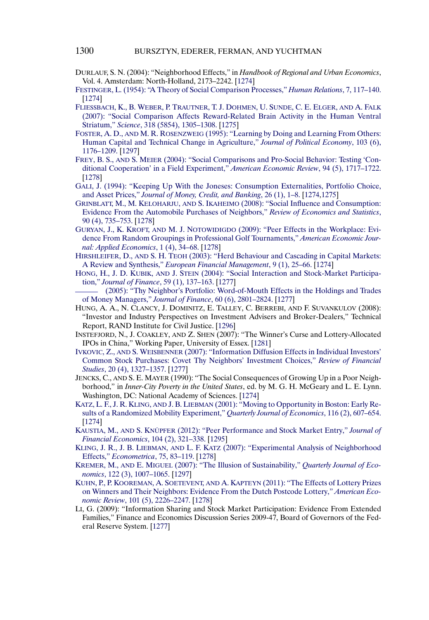- DURLAUF, S. N. (2004): "Neighborhood Effects," in *Handbook of Regional and Urban Economics*, Vol. 4. Amsterdam: North-Holland, 2173–2242. [\[1274\]](#page-1-0)
- [FESTINGER, L. \(1954\): "A Theory of Social Comparison Processes,"](http://www.e-publications.org/srv/ecta/linkserver/openurl?rft_dat=bib:43/festinger1954&rfe_id=urn:sici%2F0012-9682%28201407%2982%3A4%3C1273%3AUMUPEE%3E2.0.CO%3B2-J) *Human Relations*, 7, 117–140. [\[1274\]](#page-1-0)
- [FLIESSBACH, K., B. WEBER, P. TRAUTNER, T. J. DOHMEN, U. SUNDE, C. E. ELGER,](http://www.e-publications.org/srv/ecta/linkserver/openurl?rft_dat=bib:44/fliessbach2007&rfe_id=urn:sici%2F0012-9682%28201407%2982%3A4%3C1273%3AUMUPEE%3E2.0.CO%3B2-J) AND A. FALK [\(2007\): "Social Comparison Affects Reward-Related Brain Activity in the Human Ventral](http://www.e-publications.org/srv/ecta/linkserver/openurl?rft_dat=bib:44/fliessbach2007&rfe_id=urn:sici%2F0012-9682%28201407%2982%3A4%3C1273%3AUMUPEE%3E2.0.CO%3B2-J) Striatum," *Science*[, 318 \(5854\), 1305–1308.](http://www.e-publications.org/srv/ecta/linkserver/openurl?rft_dat=bib:44/fliessbach2007&rfe_id=urn:sici%2F0012-9682%28201407%2982%3A4%3C1273%3AUMUPEE%3E2.0.CO%3B2-J) [\[1275\]](#page-2-0)
- FOSTER, A. D., AND M. R. ROSENZWEIG [\(1995\): "Learning by Doing and Learning From Others:](http://www.e-publications.org/srv/ecta/linkserver/openurl?rft_dat=bib:45/fosterr1995&rfe_id=urn:sici%2F0012-9682%28201407%2982%3A4%3C1273%3AUMUPEE%3E2.0.CO%3B2-J) [Human Capital and Technical Change in Agriculture,"](http://www.e-publications.org/srv/ecta/linkserver/openurl?rft_dat=bib:45/fosterr1995&rfe_id=urn:sici%2F0012-9682%28201407%2982%3A4%3C1273%3AUMUPEE%3E2.0.CO%3B2-J) *Journal of Political Economy*, 103 (6), [1176–1209.](http://www.e-publications.org/srv/ecta/linkserver/openurl?rft_dat=bib:45/fosterr1995&rfe_id=urn:sici%2F0012-9682%28201407%2982%3A4%3C1273%3AUMUPEE%3E2.0.CO%3B2-J) [\[1297\]](#page-24-0)
- FREY, B. S., AND S. MEIER [\(2004\): "Social Comparisons and Pro-Social Behavior: Testing 'Con](http://www.e-publications.org/srv/ecta/linkserver/openurl?rft_dat=bib:46/freym2004&rfe_id=urn:sici%2F0012-9682%28201407%2982%3A4%3C1273%3AUMUPEE%3E2.0.CO%3B2-J)[ditional Cooperation' in a Field Experiment,"](http://www.e-publications.org/srv/ecta/linkserver/openurl?rft_dat=bib:46/freym2004&rfe_id=urn:sici%2F0012-9682%28201407%2982%3A4%3C1273%3AUMUPEE%3E2.0.CO%3B2-J) *American Economic Review*, 94 (5), 1717–1722. [\[1278\]](#page-5-0)
- [GALI, J. \(1994\): "Keeping Up With the Joneses: Consumption Externalities, Portfolio Choice,](http://www.e-publications.org/srv/ecta/linkserver/openurl?rft_dat=bib:47/gali1994&rfe_id=urn:sici%2F0012-9682%28201407%2982%3A4%3C1273%3AUMUPEE%3E2.0.CO%3B2-J) and Asset Prices," *[Journal of Money, Credit, and Banking](http://www.e-publications.org/srv/ecta/linkserver/openurl?rft_dat=bib:47/gali1994&rfe_id=urn:sici%2F0012-9682%28201407%2982%3A4%3C1273%3AUMUPEE%3E2.0.CO%3B2-J)*, 26 (1), 1–8. [\[1274](#page-1-0)[,1275\]](#page-2-0)
- GRINBLATT, M., M. KELOHARJU, AND S. IKAHEIMO [\(2008\): "Social Influence and Consumption:](http://www.e-publications.org/srv/ecta/linkserver/openurl?rft_dat=bib:48/grinblattki2008&rfe_id=urn:sici%2F0012-9682%28201407%2982%3A4%3C1273%3AUMUPEE%3E2.0.CO%3B2-J) [Evidence From the Automobile Purchases of Neighbors,"](http://www.e-publications.org/srv/ecta/linkserver/openurl?rft_dat=bib:48/grinblattki2008&rfe_id=urn:sici%2F0012-9682%28201407%2982%3A4%3C1273%3AUMUPEE%3E2.0.CO%3B2-J) *Review of Economics and Statistics*, [90 \(4\), 735–753.](http://www.e-publications.org/srv/ecta/linkserver/openurl?rft_dat=bib:48/grinblattki2008&rfe_id=urn:sici%2F0012-9682%28201407%2982%3A4%3C1273%3AUMUPEE%3E2.0.CO%3B2-J) [\[1278\]](#page-5-0)
- GURYAN, J., K. KROFT, AND M. J. NOTOWIDIGDO [\(2009\): "Peer Effects in the Workplace: Evi](http://www.e-publications.org/srv/ecta/linkserver/openurl?rft_dat=bib:49/guryankn2009&rfe_id=urn:sici%2F0012-9682%28201407%2982%3A4%3C1273%3AUMUPEE%3E2.0.CO%3B2-J)[dence From Random Groupings in Professional Golf Tournaments,"](http://www.e-publications.org/srv/ecta/linkserver/openurl?rft_dat=bib:49/guryankn2009&rfe_id=urn:sici%2F0012-9682%28201407%2982%3A4%3C1273%3AUMUPEE%3E2.0.CO%3B2-J) *American Economic Jour[nal: Applied Economics](http://www.e-publications.org/srv/ecta/linkserver/openurl?rft_dat=bib:49/guryankn2009&rfe_id=urn:sici%2F0012-9682%28201407%2982%3A4%3C1273%3AUMUPEE%3E2.0.CO%3B2-J)*, 1 (4), 34–68. [\[1278\]](#page-5-0)
- HIRSHLEIFER, D., AND S. H. TEOH [\(2003\): "Herd Behaviour and Cascading in Capital Markets:](http://www.e-publications.org/srv/ecta/linkserver/openurl?rft_dat=bib:50/hirshleifert2003&rfe_id=urn:sici%2F0012-9682%28201407%2982%3A4%3C1273%3AUMUPEE%3E2.0.CO%3B2-J) A Review and Synthesis," *[European Financial Management](http://www.e-publications.org/srv/ecta/linkserver/openurl?rft_dat=bib:50/hirshleifert2003&rfe_id=urn:sici%2F0012-9682%28201407%2982%3A4%3C1273%3AUMUPEE%3E2.0.CO%3B2-J)*, 9 (1), 25–66. [\[1274\]](#page-1-0)
- HONG, H., J. D. KUBIK, AND J. STEIN [\(2004\): "Social Interaction and Stock-Market Participa](http://www.e-publications.org/srv/ecta/linkserver/openurl?rft_dat=bib:51/hongks2004&rfe_id=urn:sici%2F0012-9682%28201407%2982%3A4%3C1273%3AUMUPEE%3E2.0.CO%3B2-J)tion," *[Journal of Finance](http://www.e-publications.org/srv/ecta/linkserver/openurl?rft_dat=bib:51/hongks2004&rfe_id=urn:sici%2F0012-9682%28201407%2982%3A4%3C1273%3AUMUPEE%3E2.0.CO%3B2-J)*, 59 (1), 137–163. [\[1277\]](#page-4-0)
- [\(2005\): "Thy Neighbor's Portfolio: Word-of-Mouth Effects in the Holdings and Trades](http://www.e-publications.org/srv/ecta/linkserver/openurl?rft_dat=bib:52/hongks2005&rfe_id=urn:sici%2F0012-9682%28201407%2982%3A4%3C1273%3AUMUPEE%3E2.0.CO%3B2-J) [of Money Managers,"](http://www.e-publications.org/srv/ecta/linkserver/openurl?rft_dat=bib:52/hongks2005&rfe_id=urn:sici%2F0012-9682%28201407%2982%3A4%3C1273%3AUMUPEE%3E2.0.CO%3B2-J) *Journal of Finance*, 60 (6), 2801–2824. [\[1277\]](#page-4-0)
- HUNG, A. A., N. CLANCY, J. DOMINITZ, E. TALLEY, C. BERREBI, AND F. SUVANKULOV (2008): "Investor and Industry Perspectives on Investment Advisers and Broker-Dealers," Technical Report, RAND Institute for Civil Justice. [\[1296\]](#page-23-0)
- INSTEFJORD, N., J. COAKLEY, AND Z. SHEN (2007): "The Winner's Curse and Lottery-Allocated IPOs in China," Working Paper, University of Essex. [\[1281\]](#page-8-0)
- IVKOVIC, Z., AND S. WEISBENNER [\(2007\): "Information Diffusion Effects in Individual Investors'](http://www.e-publications.org/srv/ecta/linkserver/openurl?rft_dat=bib:55/ivkovicw2007&rfe_id=urn:sici%2F0012-9682%28201407%2982%3A4%3C1273%3AUMUPEE%3E2.0.CO%3B2-J) [Common Stock Purchases: Covet Thy Neighbors' Investment Choices,"](http://www.e-publications.org/srv/ecta/linkserver/openurl?rft_dat=bib:55/ivkovicw2007&rfe_id=urn:sici%2F0012-9682%28201407%2982%3A4%3C1273%3AUMUPEE%3E2.0.CO%3B2-J) *Review of Financial Studies*[, 20 \(4\), 1327–1357.](http://www.e-publications.org/srv/ecta/linkserver/openurl?rft_dat=bib:55/ivkovicw2007&rfe_id=urn:sici%2F0012-9682%28201407%2982%3A4%3C1273%3AUMUPEE%3E2.0.CO%3B2-J) [\[1277\]](#page-4-0)
- JENCKS, C., AND S. E. MAYER (1990): "The Social Consequences of Growing Up in a Poor Neighborhood," in *Inner-City Poverty in the United States*, ed. by M. G. H. McGeary and L. E. Lynn. Washington, DC: National Academy of Sciences. [\[1274\]](#page-1-0)
- KATZ, L. F., J. R. KLING, AND J. B. LIEBMAN [\(2001\): "Moving to Opportunity in Boston: Early Re](http://www.e-publications.org/srv/ecta/linkserver/openurl?rft_dat=bib:57/katzkl2001&rfe_id=urn:sici%2F0012-9682%28201407%2982%3A4%3C1273%3AUMUPEE%3E2.0.CO%3B2-J)[sults of a Randomized Mobility Experiment,"](http://www.e-publications.org/srv/ecta/linkserver/openurl?rft_dat=bib:57/katzkl2001&rfe_id=urn:sici%2F0012-9682%28201407%2982%3A4%3C1273%3AUMUPEE%3E2.0.CO%3B2-J) *Quarterly Journal of Economics*, 116 (2), 607–654. [\[1274\]](#page-1-0)
- KAUSTIA, M., AND S. KNÜPFER [\(2012\): "Peer Performance and Stock Market Entry,"](http://www.e-publications.org/srv/ecta/linkserver/openurl?rft_dat=bib:58/kaustiak2012&rfe_id=urn:sici%2F0012-9682%28201407%2982%3A4%3C1273%3AUMUPEE%3E2.0.CO%3B2-J) *Journal of [Financial Economics](http://www.e-publications.org/srv/ecta/linkserver/openurl?rft_dat=bib:58/kaustiak2012&rfe_id=urn:sici%2F0012-9682%28201407%2982%3A4%3C1273%3AUMUPEE%3E2.0.CO%3B2-J)*, 104 (2), 321–338. [\[1295\]](#page-22-0)
- KLING, J. R., J. B. LIEBMAN, AND L. F. KATZ [\(2007\): "Experimental Analysis of Neighborhood](http://www.e-publications.org/srv/ecta/linkserver/openurl?rft_dat=bib:59/klinglk2007&rfe_id=urn:sici%2F0012-9682%28201407%2982%3A4%3C1273%3AUMUPEE%3E2.0.CO%3B2-J) Effects," *[Econometrica](http://www.e-publications.org/srv/ecta/linkserver/openurl?rft_dat=bib:59/klinglk2007&rfe_id=urn:sici%2F0012-9682%28201407%2982%3A4%3C1273%3AUMUPEE%3E2.0.CO%3B2-J)*, 75, 83–119. [\[1278\]](#page-5-0)
- KREMER, M., AND E. MIGUEL [\(2007\): "The Illusion of Sustainability,"](http://www.e-publications.org/srv/ecta/linkserver/openurl?rft_dat=bib:60/kremerm2007&rfe_id=urn:sici%2F0012-9682%28201407%2982%3A4%3C1273%3AUMUPEE%3E2.0.CO%3B2-J) *Quarterly Journal of Economics*[, 122 \(3\), 1007–1065.](http://www.e-publications.org/srv/ecta/linkserver/openurl?rft_dat=bib:60/kremerm2007&rfe_id=urn:sici%2F0012-9682%28201407%2982%3A4%3C1273%3AUMUPEE%3E2.0.CO%3B2-J) [\[1297\]](#page-24-0)
- [KUHN, P., P. KOOREMAN, A. SOETEVENT,](http://www.e-publications.org/srv/ecta/linkserver/openurl?rft_dat=bib:61/kuhnksk2011&rfe_id=urn:sici%2F0012-9682%28201407%2982%3A4%3C1273%3AUMUPEE%3E2.0.CO%3B2-J) AND A. KAPTEYN (2011): "The Effects of Lottery Prizes [on Winners and Their Neighbors: Evidence From the Dutch Postcode Lottery,"](http://www.e-publications.org/srv/ecta/linkserver/openurl?rft_dat=bib:61/kuhnksk2011&rfe_id=urn:sici%2F0012-9682%28201407%2982%3A4%3C1273%3AUMUPEE%3E2.0.CO%3B2-J) *American Economic Review*[, 101 \(5\), 2226–2247.](http://www.e-publications.org/srv/ecta/linkserver/openurl?rft_dat=bib:61/kuhnksk2011&rfe_id=urn:sici%2F0012-9682%28201407%2982%3A4%3C1273%3AUMUPEE%3E2.0.CO%3B2-J) [\[1278\]](#page-5-0)
- LI, G. (2009): "Information Sharing and Stock Market Participation: Evidence From Extended Families," Finance and Economics Discussion Series 2009-47, Board of Governors of the Federal Reserve System. [\[1277\]](#page-4-0)

<span id="page-28-0"></span>